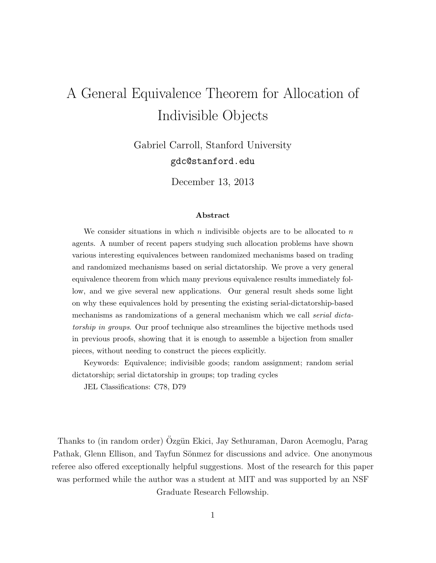# A General Equivalence Theorem for Allocation of Indivisible Objects

Gabriel Carroll, Stanford University gdc@stanford.edu

December 13, 2013

#### Abstract

We consider situations in which n indivisible objects are to be allocated to  $n$ agents. A number of recent papers studying such allocation problems have shown various interesting equivalences between randomized mechanisms based on trading and randomized mechanisms based on serial dictatorship. We prove a very general equivalence theorem from which many previous equivalence results immediately follow, and we give several new applications. Our general result sheds some light on why these equivalences hold by presenting the existing serial-dictatorship-based mechanisms as randomizations of a general mechanism which we call serial dictatorship in groups. Our proof technique also streamlines the bijective methods used in previous proofs, showing that it is enough to assemble a bijection from smaller pieces, without needing to construct the pieces explicitly.

Keywords: Equivalence; indivisible goods; random assignment; random serial dictatorship; serial dictatorship in groups; top trading cycles

JEL Classifications: C78, D79

Thanks to (in random order) Özgün Ekici, Jay Sethuraman, Daron Acemoglu, Parag Pathak, Glenn Ellison, and Tayfun Sönmez for discussions and advice. One anonymous referee also offered exceptionally helpful suggestions. Most of the research for this paper was performed while the author was a student at MIT and was supported by an NSF Graduate Research Fellowship.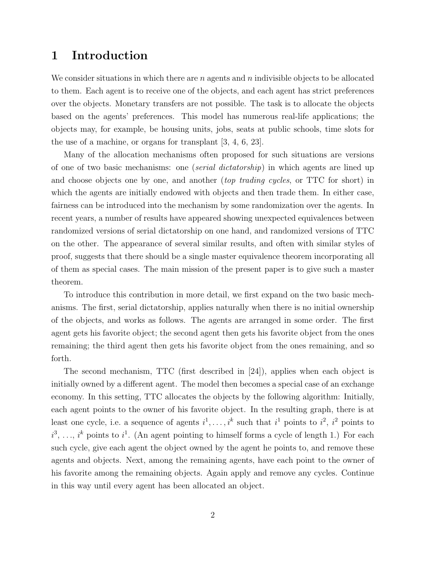## 1 Introduction

We consider situations in which there are  $n$  agents and  $n$  indivisible objects to be allocated to them. Each agent is to receive one of the objects, and each agent has strict preferences over the objects. Monetary transfers are not possible. The task is to allocate the objects based on the agents' preferences. This model has numerous real-life applications; the objects may, for example, be housing units, jobs, seats at public schools, time slots for the use of a machine, or organs for transplant [3, 4, 6, 23].

Many of the allocation mechanisms often proposed for such situations are versions of one of two basic mechanisms: one (*serial dictatorship*) in which agents are lined up and choose objects one by one, and another (*top trading cycles*, or TTC for short) in which the agents are initially endowed with objects and then trade them. In either case, fairness can be introduced into the mechanism by some randomization over the agents. In recent years, a number of results have appeared showing unexpected equivalences between randomized versions of serial dictatorship on one hand, and randomized versions of TTC on the other. The appearance of several similar results, and often with similar styles of proof, suggests that there should be a single master equivalence theorem incorporating all of them as special cases. The main mission of the present paper is to give such a master theorem.

To introduce this contribution in more detail, we first expand on the two basic mechanisms. The first, serial dictatorship, applies naturally when there is no initial ownership of the objects, and works as follows. The agents are arranged in some order. The first agent gets his favorite object; the second agent then gets his favorite object from the ones remaining; the third agent then gets his favorite object from the ones remaining, and so forth.

The second mechanism, TTC (first described in [24]), applies when each object is initially owned by a different agent. The model then becomes a special case of an exchange economy. In this setting, TTC allocates the objects by the following algorithm: Initially, each agent points to the owner of his favorite object. In the resulting graph, there is at least one cycle, i.e. a sequence of agents  $i^1, \ldots, i^k$  such that  $i^1$  points to  $i^2$ ,  $i^2$  points to  $i^3, \ldots, i^k$  points to  $i^1$ . (An agent pointing to himself forms a cycle of length 1.) For each such cycle, give each agent the object owned by the agent he points to, and remove these agents and objects. Next, among the remaining agents, have each point to the owner of his favorite among the remaining objects. Again apply and remove any cycles. Continue in this way until every agent has been allocated an object.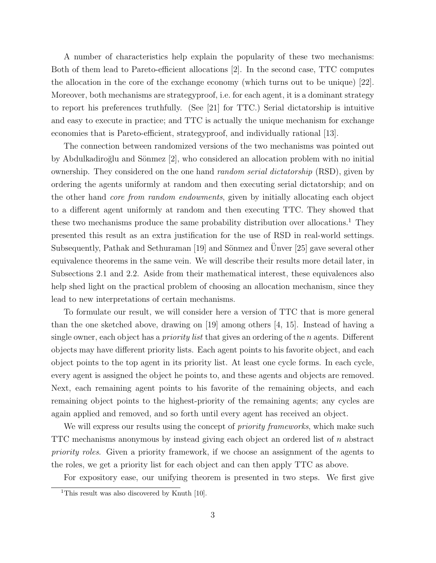A number of characteristics help explain the popularity of these two mechanisms: Both of them lead to Pareto-efficient allocations [2]. In the second case, TTC computes the allocation in the core of the exchange economy (which turns out to be unique) [22]. Moreover, both mechanisms are strategyproof, i.e. for each agent, it is a dominant strategy to report his preferences truthfully. (See [21] for TTC.) Serial dictatorship is intuitive and easy to execute in practice; and TTC is actually the unique mechanism for exchange economies that is Pareto-efficient, strategyproof, and individually rational [13].

The connection between randomized versions of the two mechanisms was pointed out by Abdulkadiroğlu and Sönmez [2], who considered an allocation problem with no initial ownership. They considered on the one hand *random serial dictatorship* (RSD), given by ordering the agents uniformly at random and then executing serial dictatorship; and on the other hand *core from random endowments*, given by initially allocating each object to a different agent uniformly at random and then executing TTC. They showed that these two mechanisms produce the same probability distribution over allocations.<sup>1</sup> They presented this result as an extra justification for the use of RSD in real-world settings. Subsequently, Pathak and Sethuraman [19] and Sönmez and Unver [25] gave several other equivalence theorems in the same vein. We will describe their results more detail later, in Subsections 2.1 and 2.2. Aside from their mathematical interest, these equivalences also help shed light on the practical problem of choosing an allocation mechanism, since they lead to new interpretations of certain mechanisms.

To formulate our result, we will consider here a version of TTC that is more general than the one sketched above, drawing on [19] among others [4, 15]. Instead of having a single owner, each object has a *priority list* that gives an ordering of the n agents. Different objects may have different priority lists. Each agent points to his favorite object, and each object points to the top agent in its priority list. At least one cycle forms. In each cycle, every agent is assigned the object he points to, and these agents and objects are removed. Next, each remaining agent points to his favorite of the remaining objects, and each remaining object points to the highest-priority of the remaining agents; any cycles are again applied and removed, and so forth until every agent has received an object.

We will express our results using the concept of *priority frameworks*, which make such TTC mechanisms anonymous by instead giving each object an ordered list of n abstract *priority roles*. Given a priority framework, if we choose an assignment of the agents to the roles, we get a priority list for each object and can then apply TTC as above.

For expository ease, our unifying theorem is presented in two steps. We first give

<sup>&</sup>lt;sup>1</sup>This result was also discovered by Knuth [10].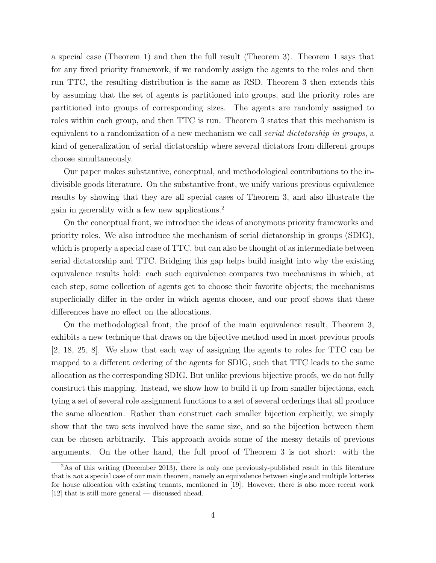a special case (Theorem 1) and then the full result (Theorem 3). Theorem 1 says that for any fixed priority framework, if we randomly assign the agents to the roles and then run TTC, the resulting distribution is the same as RSD. Theorem 3 then extends this by assuming that the set of agents is partitioned into groups, and the priority roles are partitioned into groups of corresponding sizes. The agents are randomly assigned to roles within each group, and then TTC is run. Theorem 3 states that this mechanism is equivalent to a randomization of a new mechanism we call *serial dictatorship in groups*, a kind of generalization of serial dictatorship where several dictators from different groups choose simultaneously.

Our paper makes substantive, conceptual, and methodological contributions to the indivisible goods literature. On the substantive front, we unify various previous equivalence results by showing that they are all special cases of Theorem 3, and also illustrate the gain in generality with a few new applications.<sup>2</sup>

On the conceptual front, we introduce the ideas of anonymous priority frameworks and priority roles. We also introduce the mechanism of serial dictatorship in groups (SDIG), which is properly a special case of TTC, but can also be thought of as intermediate between serial dictatorship and TTC. Bridging this gap helps build insight into why the existing equivalence results hold: each such equivalence compares two mechanisms in which, at each step, some collection of agents get to choose their favorite objects; the mechanisms superficially differ in the order in which agents choose, and our proof shows that these differences have no effect on the allocations.

On the methodological front, the proof of the main equivalence result, Theorem 3, exhibits a new technique that draws on the bijective method used in most previous proofs [2, 18, 25, 8]. We show that each way of assigning the agents to roles for TTC can be mapped to a different ordering of the agents for SDIG, such that TTC leads to the same allocation as the corresponding SDIG. But unlike previous bijective proofs, we do not fully construct this mapping. Instead, we show how to build it up from smaller bijections, each tying a set of several role assignment functions to a set of several orderings that all produce the same allocation. Rather than construct each smaller bijection explicitly, we simply show that the two sets involved have the same size, and so the bijection between them can be chosen arbitrarily. This approach avoids some of the messy details of previous arguments. On the other hand, the full proof of Theorem 3 is not short: with the

 $2\text{As of this writing (December 2013), there is only one previously-published result in this literature}$ that is not a special case of our main theorem, namely an equivalence between single and multiple lotteries for house allocation with existing tenants, mentioned in [19]. However, there is also more recent work [12] that is still more general — discussed ahead.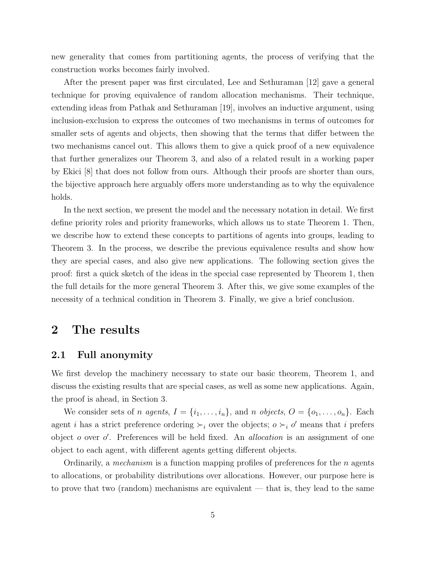new generality that comes from partitioning agents, the process of verifying that the construction works becomes fairly involved.

After the present paper was first circulated, Lee and Sethuraman [12] gave a general technique for proving equivalence of random allocation mechanisms. Their technique, extending ideas from Pathak and Sethuraman [19], involves an inductive argument, using inclusion-exclusion to express the outcomes of two mechanisms in terms of outcomes for smaller sets of agents and objects, then showing that the terms that differ between the two mechanisms cancel out. This allows them to give a quick proof of a new equivalence that further generalizes our Theorem 3, and also of a related result in a working paper by Ekici [8] that does not follow from ours. Although their proofs are shorter than ours, the bijective approach here arguably offers more understanding as to why the equivalence holds.

In the next section, we present the model and the necessary notation in detail. We first define priority roles and priority frameworks, which allows us to state Theorem 1. Then, we describe how to extend these concepts to partitions of agents into groups, leading to Theorem 3. In the process, we describe the previous equivalence results and show how they are special cases, and also give new applications. The following section gives the proof: first a quick sketch of the ideas in the special case represented by Theorem 1, then the full details for the more general Theorem 3. After this, we give some examples of the necessity of a technical condition in Theorem 3. Finally, we give a brief conclusion.

## 2 The results

#### 2.1 Full anonymity

We first develop the machinery necessary to state our basic theorem, Theorem 1, and discuss the existing results that are special cases, as well as some new applications. Again, the proof is ahead, in Section 3.

We consider sets of *n agents*,  $I = \{i_1, \ldots, i_n\}$ , and *n objects*,  $O = \{o_1, \ldots, o_n\}$ . Each agent *i* has a strict preference ordering  $\succ_i$  over the objects;  $o \succ_i o'$  means that *i* prefers object o over o ′ . Preferences will be held fixed. An *allocation* is an assignment of one object to each agent, with different agents getting different objects.

Ordinarily, a *mechanism* is a function mapping profiles of preferences for the n agents to allocations, or probability distributions over allocations. However, our purpose here is to prove that two (random) mechanisms are equivalent — that is, they lead to the same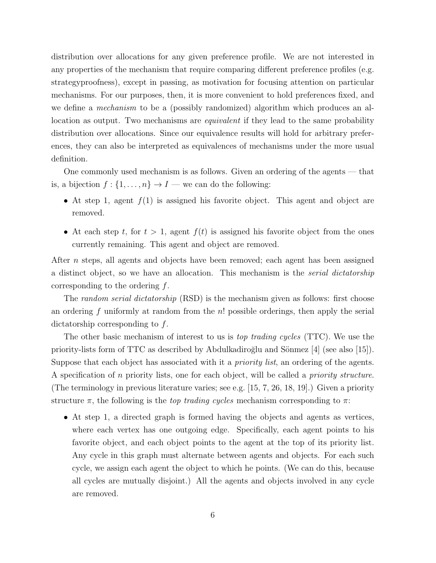distribution over allocations for any given preference profile. We are not interested in any properties of the mechanism that require comparing different preference profiles (e.g. strategyproofness), except in passing, as motivation for focusing attention on particular mechanisms. For our purposes, then, it is more convenient to hold preferences fixed, and we define a *mechanism* to be a (possibly randomized) algorithm which produces an allocation as output. Two mechanisms are *equivalent* if they lead to the same probability distribution over allocations. Since our equivalence results will hold for arbitrary preferences, they can also be interpreted as equivalences of mechanisms under the more usual definition.

One commonly used mechanism is as follows. Given an ordering of the agents — that is, a bijection  $f: \{1, \ldots, n\} \to I$  — we can do the following:

- At step 1, agent  $f(1)$  is assigned his favorite object. This agent and object are removed.
- At each step t, for  $t > 1$ , agent  $f(t)$  is assigned his favorite object from the ones currently remaining. This agent and object are removed.

After n steps, all agents and objects have been removed; each agent has been assigned a distinct object, so we have an allocation. This mechanism is the *serial dictatorship* corresponding to the ordering  $f$ .

The *random serial dictatorship* (RSD) is the mechanism given as follows: first choose an ordering f uniformly at random from the  $n!$  possible orderings, then apply the serial dictatorship corresponding to f.

The other basic mechanism of interest to us is *top trading cycles* (TTC). We use the priority-lists form of TTC as described by Abdulkadiroğlu and Sönmez  $[4]$  (see also  $[15]$ ). Suppose that each object has associated with it a *priority list*, an ordering of the agents. A specification of n priority lists, one for each object, will be called a *priority structure*. (The terminology in previous literature varies; see e.g. [15, 7, 26, 18, 19].) Given a priority structure  $\pi$ , the following is the *top trading cycles* mechanism corresponding to  $\pi$ :

• At step 1, a directed graph is formed having the objects and agents as vertices, where each vertex has one outgoing edge. Specifically, each agent points to his favorite object, and each object points to the agent at the top of its priority list. Any cycle in this graph must alternate between agents and objects. For each such cycle, we assign each agent the object to which he points. (We can do this, because all cycles are mutually disjoint.) All the agents and objects involved in any cycle are removed.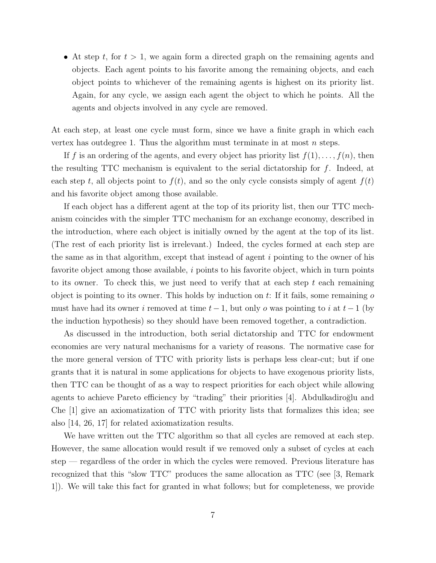• At step t, for  $t > 1$ , we again form a directed graph on the remaining agents and objects. Each agent points to his favorite among the remaining objects, and each object points to whichever of the remaining agents is highest on its priority list. Again, for any cycle, we assign each agent the object to which he points. All the agents and objects involved in any cycle are removed.

At each step, at least one cycle must form, since we have a finite graph in which each vertex has outdegree 1. Thus the algorithm must terminate in at most  $n$  steps.

If f is an ordering of the agents, and every object has priority list  $f(1), \ldots, f(n)$ , then the resulting TTC mechanism is equivalent to the serial dictatorship for f. Indeed, at each step t, all objects point to  $f(t)$ , and so the only cycle consists simply of agent  $f(t)$ and his favorite object among those available.

If each object has a different agent at the top of its priority list, then our TTC mechanism coincides with the simpler TTC mechanism for an exchange economy, described in the introduction, where each object is initially owned by the agent at the top of its list. (The rest of each priority list is irrelevant.) Indeed, the cycles formed at each step are the same as in that algorithm, except that instead of agent  $i$  pointing to the owner of his favorite object among those available,  $i$  points to his favorite object, which in turn points to its owner. To check this, we just need to verify that at each step  $t$  each remaining object is pointing to its owner. This holds by induction on t: If it fails, some remaining  $\sigma$ must have had its owner i removed at time  $t - 1$ , but only o was pointing to i at  $t - 1$  (by the induction hypothesis) so they should have been removed together, a contradiction.

As discussed in the introduction, both serial dictatorship and TTC for endowment economies are very natural mechanisms for a variety of reasons. The normative case for the more general version of TTC with priority lists is perhaps less clear-cut; but if one grants that it is natural in some applications for objects to have exogenous priority lists, then TTC can be thought of as a way to respect priorities for each object while allowing agents to achieve Pareto efficiency by "trading" their priorities [4]. Abdulkadiroğlu and Che [1] give an axiomatization of TTC with priority lists that formalizes this idea; see also [14, 26, 17] for related axiomatization results.

We have written out the TTC algorithm so that all cycles are removed at each step. However, the same allocation would result if we removed only a subset of cycles at each step — regardless of the order in which the cycles were removed. Previous literature has recognized that this "slow TTC" produces the same allocation as TTC (see [3, Remark 1]). We will take this fact for granted in what follows; but for completeness, we provide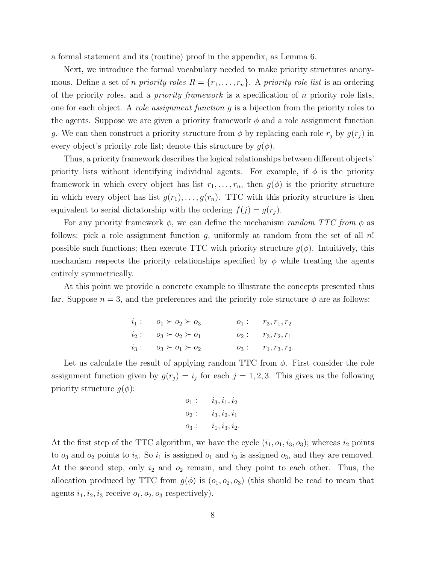a formal statement and its (routine) proof in the appendix, as Lemma 6.

Next, we introduce the formal vocabulary needed to make priority structures anonymous. Define a set of *n priority roles*  $R = \{r_1, \ldots, r_n\}$ . A *priority role list* is an ordering of the priority roles, and a *priority framework* is a specification of n priority role lists, one for each object. A *role assignment function* g is a bijection from the priority roles to the agents. Suppose we are given a priority framework  $\phi$  and a role assignment function g. We can then construct a priority structure from  $\phi$  by replacing each role  $r_j$  by  $g(r_j)$  in every object's priority role list; denote this structure by  $q(\phi)$ .

Thus, a priority framework describes the logical relationships between different objects' priority lists without identifying individual agents. For example, if  $\phi$  is the priority framework in which every object has list  $r_1, \ldots, r_n$ , then  $g(\phi)$  is the priority structure in which every object has list  $g(r_1), \ldots, g(r_n)$ . TTC with this priority structure is then equivalent to serial dictatorship with the ordering  $f(j) = g(r_j)$ .

For any priority framework  $\phi$ , we can define the mechanism *random TTC from*  $\phi$  as follows: pick a role assignment function g, uniformly at random from the set of all  $n!$ possible such functions; then execute TTC with priority structure  $q(\phi)$ . Intuitively, this mechanism respects the priority relationships specified by  $\phi$  while treating the agents entirely symmetrically.

At this point we provide a concrete example to illustrate the concepts presented thus far. Suppose  $n = 3$ , and the preferences and the priority role structure  $\phi$  are as follows:

| $i_1: \quad o_1 \succ o_2 \succ o_3$ | $o_1: r_3, r_1, r_2$  |
|--------------------------------------|-----------------------|
| $i_2: \quad o_3 \succ o_2 \succ o_1$ | $o_2: r_3, r_2, r_1$  |
| $i_3: \quad o_3 \succ o_1 \succ o_2$ | $o_3: r_1, r_3, r_2.$ |

Let us calculate the result of applying random TTC from  $\phi$ . First consider the role assignment function given by  $g(r_j) = i_j$  for each  $j = 1, 2, 3$ . This gives us the following priority structure  $q(\phi)$ :

$$
o_1: \t i_3, i_1, i_2\n o_2: \t i_3, i_2, i_1\n o_3: \t i_1, i_3, i_2.
$$

At the first step of the TTC algorithm, we have the cycle  $(i_1, o_1, i_3, o_3)$ ; whereas  $i_2$  points to  $o_3$  and  $o_2$  points to  $i_3$ . So  $i_1$  is assigned  $o_1$  and  $i_3$  is assigned  $o_3$ , and they are removed. At the second step, only  $i_2$  and  $o_2$  remain, and they point to each other. Thus, the allocation produced by TTC from  $g(\phi)$  is  $(o_1, o_2, o_3)$  (this should be read to mean that agents  $i_1, i_2, i_3$  receive  $o_1, o_2, o_3$  respectively).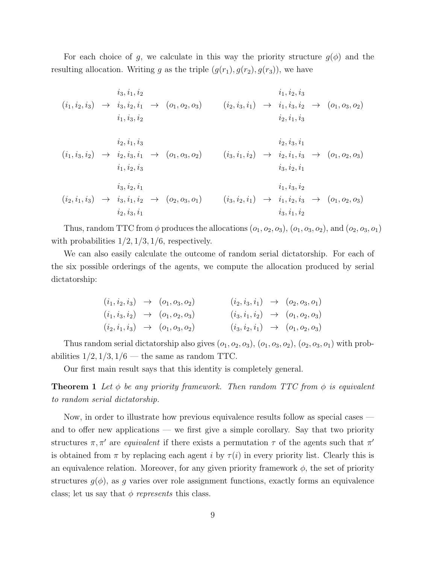For each choice of g, we calculate in this way the priority structure  $g(\phi)$  and the resulting allocation. Writing g as the triple  $(g(r_1), g(r_2), g(r_3))$ , we have

$$
(i_1, i_2, i_3) \rightarrow i_3, i_2, i_1 \rightarrow (o_1, o_2, o_3) \qquad (i_2, i_3, i_1) \rightarrow i_1, i_3, i_2 \rightarrow (o_1, o_3, o_2)
$$
  

$$
i_1, i_3, i_2 \qquad (i_2, i_3, i_1) \rightarrow i_1, i_3, i_2 \rightarrow (o_1, o_3, o_2)
$$

$$
(i_1, i_3, i_2) \rightarrow i_2, i_3, i_1 \rightarrow (o_1, o_3, o_2) \qquad (i_3, i_1, i_2) \rightarrow i_2, i_1, i_3 \rightarrow (o_1, o_2, o_3)
$$
  
\n
$$
i_1, i_2, i_3
$$
  
\n
$$
(i_3, i_1, i_2) \rightarrow i_2, i_1, i_3 \rightarrow (o_1, o_2, o_3)
$$
  
\n
$$
i_3, i_2, i_1
$$
  
\n
$$
(i_2, i_1, i_3) \rightarrow i_3, i_1, i_2 \rightarrow (o_2, o_3, o_1) \qquad (i_3, i_2, i_1) \rightarrow i_1, i_2, i_3 \rightarrow (o_1, o_2, o_3)
$$
  
\n
$$
i_2, i_3, i_1
$$
  
\n
$$
i_3, i_1, i_2
$$

Thus, random TTC from  $\phi$  produces the allocations  $(o_1, o_2, o_3)$ ,  $(o_1, o_3, o_2)$ , and  $(o_2, o_3, o_1)$ with probabilities  $1/2$ ,  $1/3$ ,  $1/6$ , respectively.

We can also easily calculate the outcome of random serial dictatorship. For each of the six possible orderings of the agents, we compute the allocation produced by serial dictatorship:

$$
(i_1, i_2, i_3) \rightarrow (o_1, o_3, o_2) \qquad (i_2, i_3, i_1) \rightarrow (o_2, o_3, o_1)
$$
  
\n
$$
(i_1, i_3, i_2) \rightarrow (o_1, o_2, o_3) \qquad (i_3, i_1, i_2) \rightarrow (o_1, o_2, o_3)
$$
  
\n
$$
(i_2, i_1, i_3) \rightarrow (o_1, o_3, o_2) \qquad (i_3, i_2, i_1) \rightarrow (o_1, o_2, o_3)
$$

Thus random serial dictatorship also gives  $(o_1, o_2, o_3)$ ,  $(o_1, o_3, o_2)$ ,  $(o_2, o_3, o_1)$  with probabilities  $1/2$ ,  $1/3$ ,  $1/6$  — the same as random TTC.

Our first main result says that this identity is completely general.

**Theorem 1** Let  $\phi$  be any priority framework. Then random TTC from  $\phi$  is equivalent *to random serial dictatorship.*

Now, in order to illustrate how previous equivalence results follow as special cases and to offer new applications — we first give a simple corollary. Say that two priority structures  $\pi, \pi'$  are *equivalent* if there exists a permutation  $\tau$  of the agents such that  $\pi'$ is obtained from  $\pi$  by replacing each agent i by  $\tau(i)$  in every priority list. Clearly this is an equivalence relation. Moreover, for any given priority framework  $\phi$ , the set of priority structures  $q(\phi)$ , as q varies over role assignment functions, exactly forms an equivalence class; let us say that  $\phi$  *represents* this class.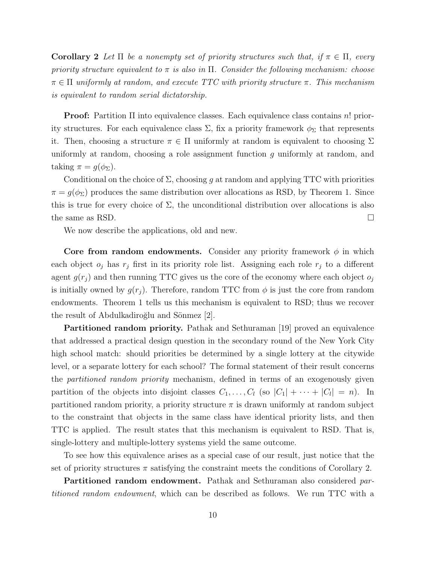Corollary 2 Let  $\Pi$  be a nonempty set of priority structures such that, if  $\pi \in \Pi$ , every *priority structure equivalent to* π *is also in* Π*. Consider the following mechanism: choose* π ∈ Π *uniformly at random, and execute TTC with priority structure* π*. This mechanism is equivalent to random serial dictatorship.*

**Proof:** Partition  $\Pi$  into equivalence classes. Each equivalence class contains n! priority structures. For each equivalence class  $\Sigma$ , fix a priority framework  $\phi_{\Sigma}$  that represents it. Then, choosing a structure  $\pi \in \Pi$  uniformly at random is equivalent to choosing  $\Sigma$ uniformly at random, choosing a role assignment function  $g$  uniformly at random, and taking  $\pi = g(\phi_{\Sigma}).$ 

Conditional on the choice of  $\Sigma$ , choosing g at random and applying TTC with priorities  $\pi = g(\phi_{\Sigma})$  produces the same distribution over allocations as RSD, by Theorem 1. Since this is true for every choice of  $\Sigma$ , the unconditional distribution over allocations is also the same as RSD.

We now describe the applications, old and new.

Core from random endowments. Consider any priority framework  $\phi$  in which each object  $o_j$  has  $r_j$  first in its priority role list. Assigning each role  $r_j$  to a different agent  $g(r_j)$  and then running TTC gives us the core of the economy where each object  $o_j$ is initially owned by  $g(r_i)$ . Therefore, random TTC from  $\phi$  is just the core from random endowments. Theorem 1 tells us this mechanism is equivalent to RSD; thus we recover the result of Abdulkadiroğlu and Sönmez [2].

Partitioned random priority. Pathak and Sethuraman [19] proved an equivalence that addressed a practical design question in the secondary round of the New York City high school match: should priorities be determined by a single lottery at the citywide level, or a separate lottery for each school? The formal statement of their result concerns the *partitioned random priority* mechanism, defined in terms of an exogenously given partition of the objects into disjoint classes  $C_1, \ldots, C_l$  (so  $|C_1| + \cdots + |C_l| = n$ ). In partitioned random priority, a priority structure  $\pi$  is drawn uniformly at random subject to the constraint that objects in the same class have identical priority lists, and then TTC is applied. The result states that this mechanism is equivalent to RSD. That is, single-lottery and multiple-lottery systems yield the same outcome.

To see how this equivalence arises as a special case of our result, just notice that the set of priority structures  $\pi$  satisfying the constraint meets the conditions of Corollary 2.

Partitioned random endowment. Pathak and Sethuraman also considered *partitioned random endowment*, which can be described as follows. We run TTC with a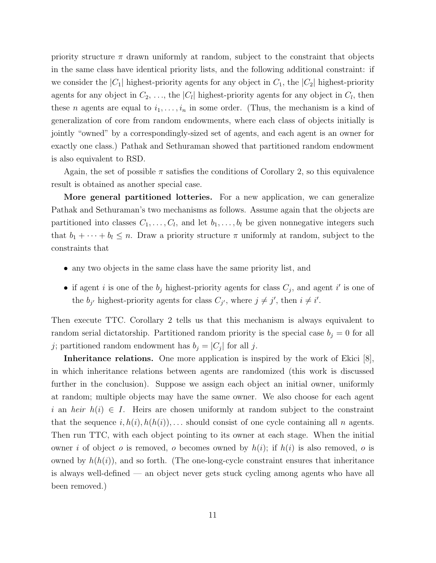priority structure  $\pi$  drawn uniformly at random, subject to the constraint that objects in the same class have identical priority lists, and the following additional constraint: if we consider the  $|C_1|$  highest-priority agents for any object in  $C_1$ , the  $|C_2|$  highest-priority agents for any object in  $C_2, \ldots$ , the  $|C_l|$  highest-priority agents for any object in  $C_l$ , then these *n* agents are equal to  $i_1, \ldots, i_n$  in some order. (Thus, the mechanism is a kind of generalization of core from random endowments, where each class of objects initially is jointly "owned" by a correspondingly-sized set of agents, and each agent is an owner for exactly one class.) Pathak and Sethuraman showed that partitioned random endowment is also equivalent to RSD.

Again, the set of possible  $\pi$  satisfies the conditions of Corollary 2, so this equivalence result is obtained as another special case.

More general partitioned lotteries. For a new application, we can generalize Pathak and Sethuraman's two mechanisms as follows. Assume again that the objects are partitioned into classes  $C_1, \ldots, C_l$ , and let  $b_1, \ldots, b_l$  be given nonnegative integers such that  $b_1 + \cdots + b_l \leq n$ . Draw a priority structure  $\pi$  uniformly at random, subject to the constraints that

- any two objects in the same class have the same priority list, and
- if agent i is one of the  $b_j$  highest-priority agents for class  $C_j$ , and agent i' is one of the  $b_{j'}$  highest-priority agents for class  $C_{j'}$ , where  $j \neq j'$ , then  $i \neq i'$ .

Then execute TTC. Corollary 2 tells us that this mechanism is always equivalent to random serial dictatorship. Partitioned random priority is the special case  $b_j = 0$  for all j; partitioned random endowment has  $b_j = |C_j|$  for all j.

Inheritance relations. One more application is inspired by the work of Ekici [8], in which inheritance relations between agents are randomized (this work is discussed further in the conclusion). Suppose we assign each object an initial owner, uniformly at random; multiple objects may have the same owner. We also choose for each agent i an *heir*  $h(i) \in I$ . Heirs are chosen uniformly at random subject to the constraint that the sequence  $i, h(i), h(h(i)), \ldots$  should consist of one cycle containing all n agents. Then run TTC, with each object pointing to its owner at each stage. When the initial owner i of object o is removed, o becomes owned by  $h(i)$ ; if  $h(i)$  is also removed, o is owned by  $h(h(i))$ , and so forth. (The one-long-cycle constraint ensures that inheritance is always well-defined — an object never gets stuck cycling among agents who have all been removed.)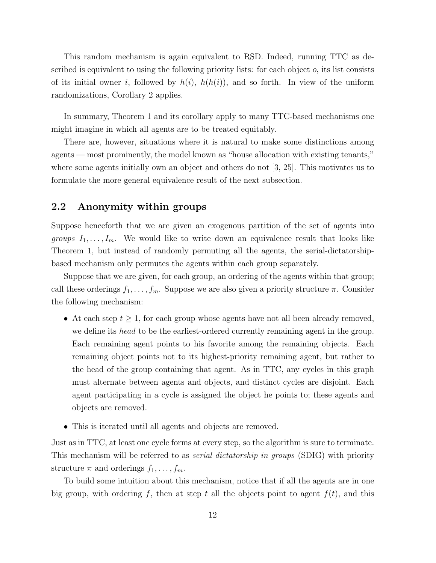This random mechanism is again equivalent to RSD. Indeed, running TTC as described is equivalent to using the following priority lists: for each object  $o$ , its list consists of its initial owner i, followed by  $h(i)$ ,  $h(h(i))$ , and so forth. In view of the uniform randomizations, Corollary 2 applies.

In summary, Theorem 1 and its corollary apply to many TTC-based mechanisms one might imagine in which all agents are to be treated equitably.

There are, however, situations where it is natural to make some distinctions among agents — most prominently, the model known as "house allocation with existing tenants," where some agents initially own an object and others do not [3, 25]. This motivates us to formulate the more general equivalence result of the next subsection.

#### 2.2 Anonymity within groups

Suppose henceforth that we are given an exogenous partition of the set of agents into *groups*  $I_1, \ldots, I_m$ . We would like to write down an equivalence result that looks like Theorem 1, but instead of randomly permuting all the agents, the serial-dictatorshipbased mechanism only permutes the agents within each group separately.

Suppose that we are given, for each group, an ordering of the agents within that group; call these orderings  $f_1, \ldots, f_m$ . Suppose we are also given a priority structure  $\pi$ . Consider the following mechanism:

- At each step  $t \geq 1$ , for each group whose agents have not all been already removed, we define its *head* to be the earliest-ordered currently remaining agent in the group. Each remaining agent points to his favorite among the remaining objects. Each remaining object points not to its highest-priority remaining agent, but rather to the head of the group containing that agent. As in TTC, any cycles in this graph must alternate between agents and objects, and distinct cycles are disjoint. Each agent participating in a cycle is assigned the object he points to; these agents and objects are removed.
- This is iterated until all agents and objects are removed.

Just as in TTC, at least one cycle forms at every step, so the algorithm is sure to terminate. This mechanism will be referred to as *serial dictatorship in groups* (SDIG) with priority structure  $\pi$  and orderings  $f_1, \ldots, f_m$ .

To build some intuition about this mechanism, notice that if all the agents are in one big group, with ordering f, then at step t all the objects point to agent  $f(t)$ , and this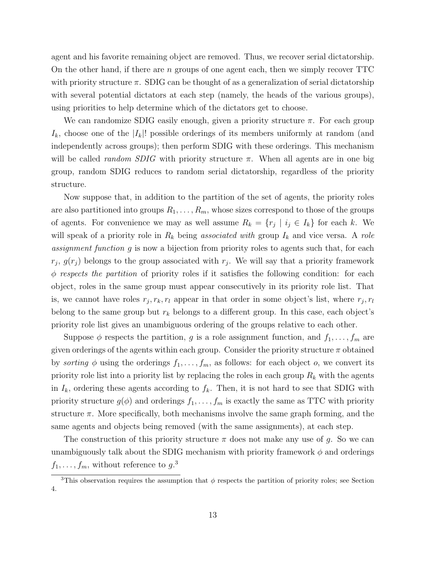agent and his favorite remaining object are removed. Thus, we recover serial dictatorship. On the other hand, if there are n groups of one agent each, then we simply recover  $TTC$ with priority structure  $\pi$ . SDIG can be thought of as a generalization of serial dictatorship with several potential dictators at each step (namely, the heads of the various groups), using priorities to help determine which of the dictators get to choose.

We can randomize SDIG easily enough, given a priority structure  $\pi$ . For each group  $I_k$ , choose one of the  $|I_k|$ ! possible orderings of its members uniformly at random (and independently across groups); then perform SDIG with these orderings. This mechanism will be called *random SDIG* with priority structure  $\pi$ . When all agents are in one big group, random SDIG reduces to random serial dictatorship, regardless of the priority structure.

Now suppose that, in addition to the partition of the set of agents, the priority roles are also partitioned into groups  $R_1, \ldots, R_m$ , whose sizes correspond to those of the groups of agents. For convenience we may as well assume  $R_k = \{r_j \mid i_j \in I_k\}$  for each k. We will speak of a priority role in  $R_k$  being *associated with* group  $I_k$  and vice versa. A *role assignment function* g is now a bijection from priority roles to agents such that, for each  $r_j$ ,  $g(r_j)$  belongs to the group associated with  $r_j$ . We will say that a priority framework φ *respects the partition* of priority roles if it satisfies the following condition: for each object, roles in the same group must appear consecutively in its priority role list. That is, we cannot have roles  $r_j, r_k, r_l$  appear in that order in some object's list, where  $r_j, r_l$ belong to the same group but  $r_k$  belongs to a different group. In this case, each object's priority role list gives an unambiguous ordering of the groups relative to each other.

Suppose  $\phi$  respects the partition, g is a role assignment function, and  $f_1, \ldots, f_m$  are given orderings of the agents within each group. Consider the priority structure  $\pi$  obtained by *sorting*  $\phi$  using the orderings  $f_1, \ldots, f_m$ , as follows: for each object  $o$ , we convert its priority role list into a priority list by replacing the roles in each group  $R_k$  with the agents in  $I_k$ , ordering these agents according to  $f_k$ . Then, it is not hard to see that SDIG with priority structure  $g(\phi)$  and orderings  $f_1, \ldots, f_m$  is exactly the same as TTC with priority structure  $\pi$ . More specifically, both mechanisms involve the same graph forming, and the same agents and objects being removed (with the same assignments), at each step.

The construction of this priority structure  $\pi$  does not make any use of g. So we can unambiguously talk about the SDIG mechanism with priority framework  $\phi$  and orderings  $f_1, \ldots, f_m$ , without reference to  $g^3$ .

<sup>&</sup>lt;sup>3</sup>This observation requires the assumption that  $\phi$  respects the partition of priority roles; see Section 4.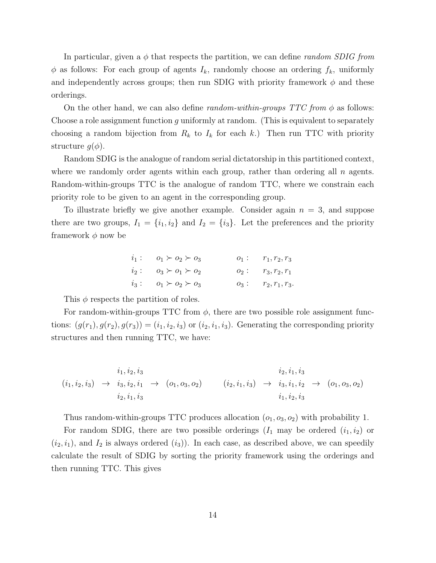In particular, given a φ that respects the partition, we can define *random SDIG from*  $\phi$  as follows: For each group of agents  $I_k$ , randomly choose an ordering  $f_k$ , uniformly and independently across groups; then run SDIG with priority framework  $\phi$  and these orderings.

On the other hand, we can also define *random-within-groups TTC from*  $\phi$  as follows: Choose a role assignment function  $g$  uniformly at random. (This is equivalent to separately choosing a random bijection from  $R_k$  to  $I_k$  for each k.) Then run TTC with priority structure  $g(\phi)$ .

Random SDIG is the analogue of random serial dictatorship in this partitioned context, where we randomly order agents within each group, rather than ordering all  $n$  agents. Random-within-groups TTC is the analogue of random TTC, where we constrain each priority role to be given to an agent in the corresponding group.

To illustrate briefly we give another example. Consider again  $n = 3$ , and suppose there are two groups,  $I_1 = \{i_1, i_2\}$  and  $I_2 = \{i_3\}$ . Let the preferences and the priority framework  $\phi$  now be

| $i_1: \quad o_1 \succ o_2 \succ o_3$ | $o_1: r_1, r_2, r_3$  |
|--------------------------------------|-----------------------|
| $i_2: \quad o_3 \succ o_1 \succ o_2$ | $o_2: r_3, r_2, r_1$  |
| $i_3:$ $o_1 \succ o_2 \succ o_3$     | $o_3: r_2, r_1, r_3.$ |

This  $\phi$  respects the partition of roles.

For random-within-groups TTC from  $\phi$ , there are two possible role assignment functions:  $(g(r_1), g(r_2), g(r_3)) = (i_1, i_2, i_3)$  or  $(i_2, i_1, i_3)$ . Generating the corresponding priority structures and then running TTC, we have:

$$
(i_1, i_2, i_3) \rightarrow i_3, i_2, i_1 \rightarrow (o_1, o_3, o_2) \qquad (i_2, i_1, i_3) \rightarrow i_3, i_1, i_2 \rightarrow (o_1, o_3, o_2)
$$
  

$$
i_2, i_1, i_3 \qquad (i_2, i_1, i_3) \rightarrow i_3, i_1, i_2 \rightarrow (o_1, o_3, o_2)
$$

Thus random-within-groups TTC produces allocation  $(o_1, o_3, o_2)$  with probability 1.

For random SDIG, there are two possible orderings  $(I_1 \text{ may be ordered } (i_1, i_2)$  or  $(i_2, i_1)$ , and  $I_2$  is always ordered  $(i_3)$ ). In each case, as described above, we can speedily calculate the result of SDIG by sorting the priority framework using the orderings and then running TTC. This gives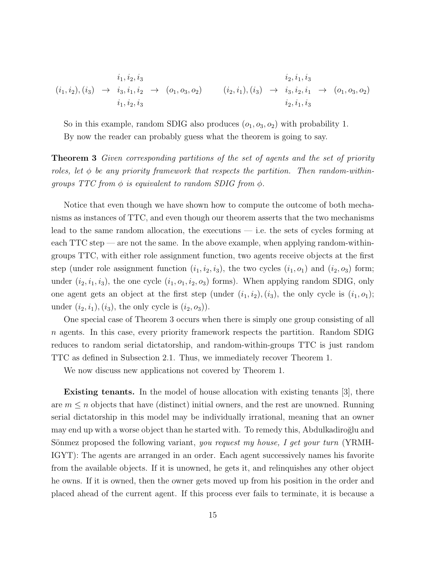$$
(i_1, i_2), (i_3) \rightarrow i_3, i_1, i_2 \rightarrow (o_1, o_3, o_2) \qquad (i_2, i_1), (i_3) \rightarrow i_3, i_2, i_1 \rightarrow (o_1, o_3, o_2)
$$
  

$$
i_1, i_2, i_3 \qquad (i_2, i_1), (i_3) \rightarrow i_3, i_2, i_1 \rightarrow (o_1, o_3, o_2)
$$

So in this example, random SDIG also produces  $(o_1, o_3, o_2)$  with probability 1. By now the reader can probably guess what the theorem is going to say.

Theorem 3 *Given corresponding partitions of the set of agents and the set of priority roles, let*  $\phi$  *be any priority framework that respects the partition. Then random-withingroups TTC from*  $\phi$  *is equivalent to random SDIG from*  $\phi$ *.* 

Notice that even though we have shown how to compute the outcome of both mechanisms as instances of TTC, and even though our theorem asserts that the two mechanisms lead to the same random allocation, the executions — i.e. the sets of cycles forming at each TTC step — are not the same. In the above example, when applying random-withingroups TTC, with either role assignment function, two agents receive objects at the first step (under role assignment function  $(i_1, i_2, i_3)$ , the two cycles  $(i_1, o_1)$  and  $(i_2, o_3)$  form; under  $(i_2, i_1, i_3)$ , the one cycle  $(i_1, o_1, i_2, o_3)$  forms). When applying random SDIG, only one agent gets an object at the first step (under  $(i_1, i_2), (i_3)$ , the only cycle is  $(i_1, o_1)$ ; under  $(i_2, i_1), (i_3)$ , the only cycle is  $(i_2, o_3)$ ).

One special case of Theorem 3 occurs when there is simply one group consisting of all n agents. In this case, every priority framework respects the partition. Random SDIG reduces to random serial dictatorship, and random-within-groups TTC is just random TTC as defined in Subsection 2.1. Thus, we immediately recover Theorem 1.

We now discuss new applications not covered by Theorem 1.

Existing tenants. In the model of house allocation with existing tenants [3], there are  $m \leq n$  objects that have (distinct) initial owners, and the rest are unowned. Running serial dictatorship in this model may be individually irrational, meaning that an owner may end up with a worse object than he started with. To remedy this, Abdulkadiroğlu and Sönmez proposed the following variant, *you request my house, I get your turn* (YRMH-IGYT): The agents are arranged in an order. Each agent successively names his favorite from the available objects. If it is unowned, he gets it, and relinquishes any other object he owns. If it is owned, then the owner gets moved up from his position in the order and placed ahead of the current agent. If this process ever fails to terminate, it is because a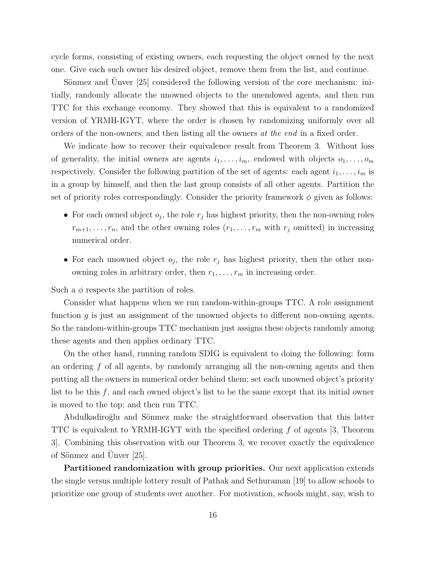cycle forms, consisting of existing owners, each requesting the object owned by the next one. Give each such owner his desired object, remove them from the list, and continue.

Sönmez and Unver  $[25]$  considered the following version of the core mechanism: intially, randomly allocate the unowned objects to the unendowed agents, and then run TTC for this exchange economy. They showed that this is equivalent to a randomized version of YRMH-IGYT, where the order is chosen by randomizing uniformly over all orders of the non-owners, and then listing all the owners *at the end* in a fixed order.

We indicate how to recover their equivalence result from Theorem 3. Without loss of generality, the initial owners are agents  $i_1, \ldots, i_m$ , endowed with objects  $o_1, \ldots, o_m$ respectively. Consider the following partition of the set of agents: each agent  $i_1, \ldots, i_m$  is in a group by himself, and then the last group consists of all other agents. Partition the set of priority roles correspondingly. Consider the priority framework  $\phi$  given as follows:

- For each owned object  $o_j$ , the role  $r_j$  has highest priority, then the non-owning roles  $r_{m+1}, \ldots, r_n$ , and the other owning roles  $(r_1, \ldots, r_m$  with  $r_j$  omitted) in increasing numerical order.
- For each unowned object  $o_j$ , the role  $r_j$  has highest priority, then the other nonowning roles in arbitrary order, then  $r_1, \ldots, r_m$  in increasing order.

Such a  $\phi$  respects the partition of roles.

Consider what happens when we run random-within-groups TTC. A role assignment function g is just an assignment of the unowned objects to different non-owning agents. So the random-within-groups TTC mechanism just assigns these objects randomly among these agents and then applies ordinary TTC.

On the other hand, running random SDIG is equivalent to doing the following: form an ordering  $f$  of all agents, by randomly arranging all the non-owning agents and then putting all the owners in numerical order behind them; set each unowned object's priority list to be this  $f$ , and each owned object's list to be the same except that its initial owner is moved to the top; and then run TTC.

Abdulkadiroğlu and Sönmez make the straightforward observation that this latter TTC is equivalent to YRMH-IGYT with the specified ordering f of agents [3, Theorem 3]. Combining this observation with our Theorem 3, we recover exactly the equivalence of Sönmez and  $\overline{U}$ nver [25].

Partitioned randomization with group priorities. Our next application extends the single versus multiple lottery result of Pathak and Sethuraman [19] to allow schools to prioritize one group of students over another. For motivation, schools might, say, wish to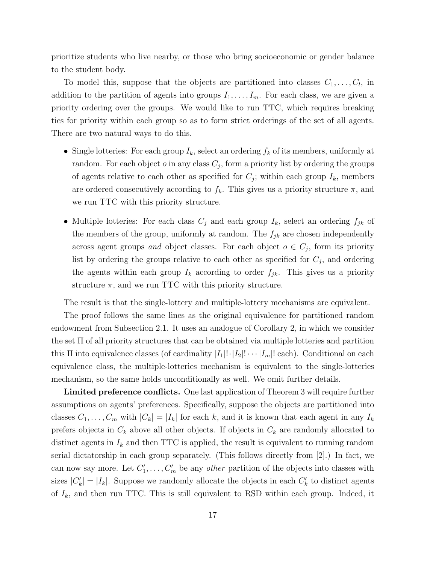prioritize students who live nearby, or those who bring socioeconomic or gender balance to the student body.

To model this, suppose that the objects are partitioned into classes  $C_1, \ldots, C_l$ , in addition to the partition of agents into groups  $I_1, \ldots, I_m$ . For each class, we are given a priority ordering over the groups. We would like to run TTC, which requires breaking ties for priority within each group so as to form strict orderings of the set of all agents. There are two natural ways to do this.

- Single lotteries: For each group  $I_k$ , select an ordering  $f_k$  of its members, uniformly at random. For each object  $o$  in any class  $C_j$ , form a priority list by ordering the groups of agents relative to each other as specified for  $C_j$ ; within each group  $I_k$ , members are ordered consecutively according to  $f_k$ . This gives us a priority structure  $\pi$ , and we run TTC with this priority structure.
- Multiple lotteries: For each class  $C_j$  and each group  $I_k$ , select an ordering  $f_{jk}$  of the members of the group, uniformly at random. The  $f_{jk}$  are chosen independently across agent groups *and* object classes. For each object  $o \in C_j$ , form its priority list by ordering the groups relative to each other as specified for  $C_j$ , and ordering the agents within each group  $I_k$  according to order  $f_{jk}$ . This gives us a priority structure  $\pi$ , and we run TTC with this priority structure.

The result is that the single-lottery and multiple-lottery mechanisms are equivalent.

The proof follows the same lines as the original equivalence for partitioned random endowment from Subsection 2.1. It uses an analogue of Corollary 2, in which we consider the set Π of all priority structures that can be obtained via multiple lotteries and partition this Π into equivalence classes (of cardinality  $|I_1|! \cdot |I_2|! \cdots |I_m|!$  each). Conditional on each equivalence class, the multiple-lotteries mechanism is equivalent to the single-lotteries mechanism, so the same holds unconditionally as well. We omit further details.

Limited preference conflicts. One last application of Theorem 3 will require further assumptions on agents' preferences. Specifically, suppose the objects are partitioned into classes  $C_1, \ldots, C_m$  with  $|C_k| = |I_k|$  for each k, and it is known that each agent in any  $I_k$ prefers objects in  $C_k$  above all other objects. If objects in  $C_k$  are randomly allocated to distinct agents in  $I_k$  and then TTC is applied, the result is equivalent to running random serial dictatorship in each group separately. (This follows directly from [2].) In fact, we can now say more. Let  $C'_1, \ldots, C'_m$  be any *other* partition of the objects into classes with sizes  $|C'_{k}| = |I_{k}|$ . Suppose we randomly allocate the objects in each  $C'_{k}$  to distinct agents of  $I_k$ , and then run TTC. This is still equivalent to RSD within each group. Indeed, it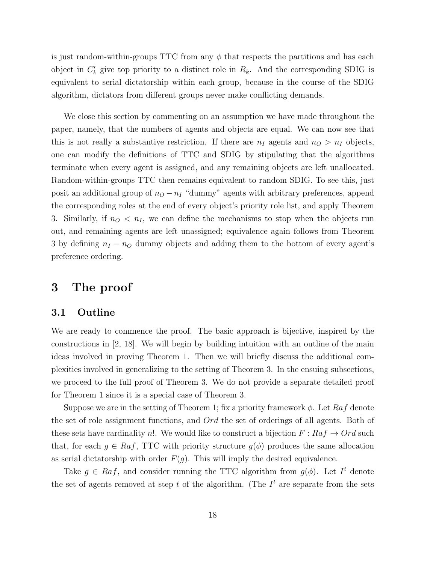is just random-within-groups TTC from any  $\phi$  that respects the partitions and has each object in  $C'_{k}$  give top priority to a distinct role in  $R_{k}$ . And the corresponding SDIG is equivalent to serial dictatorship within each group, because in the course of the SDIG algorithm, dictators from different groups never make conflicting demands.

We close this section by commenting on an assumption we have made throughout the paper, namely, that the numbers of agents and objects are equal. We can now see that this is not really a substantive restriction. If there are  $n_I$  agents and  $n_O > n_I$  objects, one can modify the definitions of TTC and SDIG by stipulating that the algorithms terminate when every agent is assigned, and any remaining objects are left unallocated. Random-within-groups TTC then remains equivalent to random SDIG. To see this, just posit an additional group of  $n<sub>O</sub> - n<sub>I</sub>$  "dummy" agents with arbitrary preferences, append the corresponding roles at the end of every object's priority role list, and apply Theorem 3. Similarly, if  $n<sub>O</sub> < n<sub>I</sub>$ , we can define the mechanisms to stop when the objects run out, and remaining agents are left unassigned; equivalence again follows from Theorem 3 by defining  $n_I - n_O$  dummy objects and adding them to the bottom of every agent's preference ordering.

## 3 The proof

#### 3.1 Outline

We are ready to commence the proof. The basic approach is bijective, inspired by the constructions in [2, 18]. We will begin by building intuition with an outline of the main ideas involved in proving Theorem 1. Then we will briefly discuss the additional complexities involved in generalizing to the setting of Theorem 3. In the ensuing subsections, we proceed to the full proof of Theorem 3. We do not provide a separate detailed proof for Theorem 1 since it is a special case of Theorem 3.

Suppose we are in the setting of Theorem 1; fix a priority framework  $\phi$ . Let  $Raf$  denote the set of role assignment functions, and Ord the set of orderings of all agents. Both of these sets have cardinality n!. We would like to construct a bijection  $F : \mathbb{R}af \to \mathbb{C}rd$  such that, for each  $q \in \text{Ra} f$ , TTC with priority structure  $q(\phi)$  produces the same allocation as serial dictatorship with order  $F(q)$ . This will imply the desired equivalence.

Take  $g \in \mathbb{R}af$ , and consider running the TTC algorithm from  $g(\phi)$ . Let  $I^t$  denote the set of agents removed at step t of the algorithm. (The  $I<sup>t</sup>$  are separate from the sets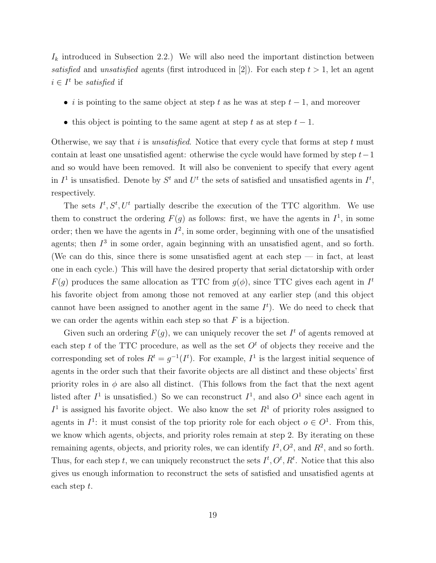$I_k$  introduced in Subsection 2.2.) We will also need the important distinction between *satisfied* and *unsatisfied* agents (first introduced in [2]). For each step  $t > 1$ , let an agent  $i \in I^t$  be *satisfied* if

- i is pointing to the same object at step t as he was at step  $t-1$ , and moreover
- this object is pointing to the same agent at step t as at step  $t-1$ .

Otherwise, we say that i is *unsatisfied*. Notice that every cycle that forms at step t must contain at least one unsatisfied agent: otherwise the cycle would have formed by step  $t-1$ and so would have been removed. It will also be convenient to specify that every agent in  $I^1$  is unsatisfied. Denote by  $S^t$  and  $U^t$  the sets of satisfied and unsatisfied agents in  $I^t$ , respectively.

The sets  $I^t$ ,  $S^t$ ,  $U^t$  partially describe the execution of the TTC algorithm. We use them to construct the ordering  $F(g)$  as follows: first, we have the agents in  $I^1$ , in some order; then we have the agents in  $I^2$ , in some order, beginning with one of the unsatisfied agents; then  $I<sup>3</sup>$  in some order, again beginning with an unsatisfied agent, and so forth. (We can do this, since there is some unsatisfied agent at each step — in fact, at least one in each cycle.) This will have the desired property that serial dictatorship with order  $F(g)$  produces the same allocation as TTC from  $g(\phi)$ , since TTC gives each agent in  $I^t$ his favorite object from among those not removed at any earlier step (and this object cannot have been assigned to another agent in the same  $I<sup>t</sup>$ ). We do need to check that we can order the agents within each step so that  $F$  is a bijection.

Given such an ordering  $F(g)$ , we can uniquely recover the set  $I<sup>t</sup>$  of agents removed at each step t of the TTC procedure, as well as the set  $O<sup>t</sup>$  of objects they receive and the corresponding set of roles  $R^t = g^{-1}(I^t)$ . For example,  $I^1$  is the largest initial sequence of agents in the order such that their favorite objects are all distinct and these objects' first priority roles in  $\phi$  are also all distinct. (This follows from the fact that the next agent listed after  $I^1$  is unsatisfied.) So we can reconstruct  $I^1$ , and also  $O^1$  since each agent in  $I<sup>1</sup>$  is assigned his favorite object. We also know the set  $R<sup>1</sup>$  of priority roles assigned to agents in  $I^1$ : it must consist of the top priority role for each object  $o \in O^1$ . From this, we know which agents, objects, and priority roles remain at step 2. By iterating on these remaining agents, objects, and priority roles, we can identify  $I^2$ ,  $O^2$ , and  $R^2$ , and so forth. Thus, for each step t, we can uniquely reconstruct the sets  $I^t$ ,  $O^t$ ,  $R^t$ . Notice that this also gives us enough information to reconstruct the sets of satisfied and unsatisfied agents at each step t.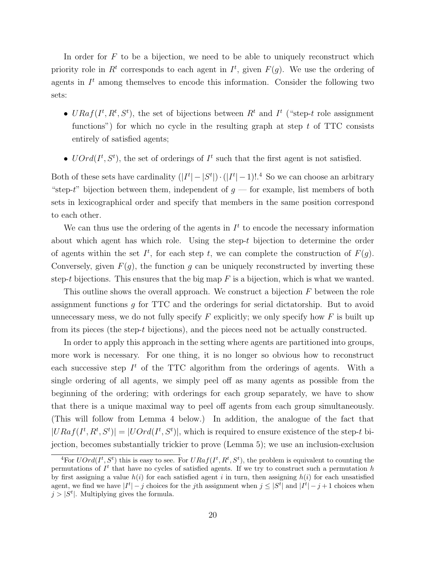In order for  $F$  to be a bijection, we need to be able to uniquely reconstruct which priority role in  $R^t$  corresponds to each agent in  $I^t$ , given  $F(g)$ . We use the ordering of agents in  $I<sup>t</sup>$  among themselves to encode this information. Consider the following two sets:

- $URaf(I^t, R^t, S^t)$ , the set of bijections between  $R^t$  and  $I^t$  ("step-t role assignment functions") for which no cycle in the resulting graph at step  $t$  of TTC consists entirely of satisfied agents;
- $UOrd(I^t, S^t)$ , the set of orderings of  $I^t$  such that the first agent is not satisfied.

Both of these sets have cardinality  $(|I^t| - |S^t|) \cdot (|I^t| - 1)!$ .<sup>4</sup> So we can choose an arbitrary "step-t" bijection between them, independent of  $g$  — for example, list members of both sets in lexicographical order and specify that members in the same position correspond to each other.

We can thus use the ordering of the agents in  $I<sup>t</sup>$  to encode the necessary information about which agent has which role. Using the step-t bijection to determine the order of agents within the set  $I^t$ , for each step t, we can complete the construction of  $F(g)$ . Conversely, given  $F(g)$ , the function g can be uniquely reconstructed by inverting these step-t bijections. This ensures that the big map  $F$  is a bijection, which is what we wanted.

This outline shows the overall approach. We construct a bijection F between the role assignment functions  $g$  for TTC and the orderings for serial dictatorship. But to avoid unnecessary mess, we do not fully specify  $F$  explicitly; we only specify how  $F$  is built up from its pieces (the step-t bijections), and the pieces need not be actually constructed.

In order to apply this approach in the setting where agents are partitioned into groups, more work is necessary. For one thing, it is no longer so obvious how to reconstruct each successive step  $I^t$  of the TTC algorithm from the orderings of agents. With a single ordering of all agents, we simply peel off as many agents as possible from the beginning of the ordering; with orderings for each group separately, we have to show that there is a unique maximal way to peel off agents from each group simultaneously. (This will follow from Lemma 4 below.) In addition, the analogue of the fact that  $|URaf(I^t, R^t, S^t)| = |UOrd(I^t, S^t)|$ , which is required to ensure existence of the step-t bijection, becomes substantially trickier to prove (Lemma 5); we use an inclusion-exclusion

<sup>&</sup>lt;sup>4</sup>For  $UOrd(I^t, S^t)$  this is easy to see. For  $URaf(I^t, R^t, S^t)$ , the problem is equivalent to counting the permutations of  $I^t$  that have no cycles of satisfied agents. If we try to construct such a permutation h by first assigning a value  $h(i)$  for each satisfied agent i in turn, then assigning  $h(i)$  for each unsatisfied agent, we find we have  $|I^t| - j$  choices for the jth assignment when  $j \leq |S^t|$  and  $|I^t| - j + 1$  choices when  $j > |S^t|$ . Multiplying gives the formula.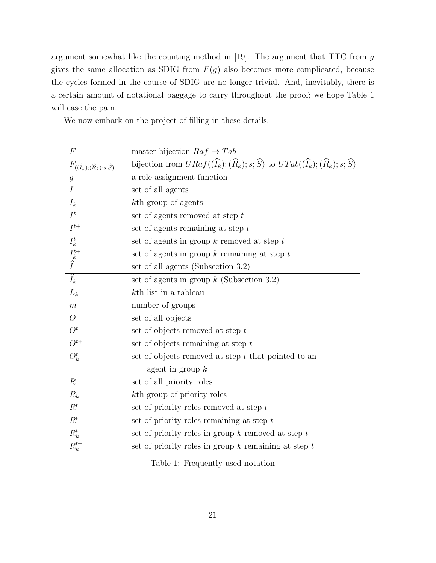argument somewhat like the counting method in  $[19]$ . The argument that TTC from  $g$ gives the same allocation as SDIG from  $F(g)$  also becomes more complicated, because the cycles formed in the course of SDIG are no longer trivial. And, inevitably, there is a certain amount of notational baggage to carry throughout the proof; we hope Table 1 will ease the pain.

We now embark on the project of filling in these details.

| $\overline{F}$                                                                       | master bijection $Ra f \rightarrow Tab$                                                                                             |
|--------------------------------------------------------------------------------------|-------------------------------------------------------------------------------------------------------------------------------------|
| $F_{((\widehat{I}_k);(\widehat{R}_k);s;\widehat{S})}$                                | bijection from $URaf((\widehat{I}_k); (\widehat{R}_k); s; \widehat{S})$ to $UTab((\widehat{I}_k); (\widehat{R}_k); s; \widehat{S})$ |
| $\mathfrak g$                                                                        | a role assignment function                                                                                                          |
| $\overline{I}$                                                                       | set of all agents                                                                                                                   |
| $I_k$                                                                                | kth group of agents                                                                                                                 |
| $\overline{I^t}$                                                                     | set of agents removed at step t                                                                                                     |
| $\mathcal{I}^{t+}$                                                                   | set of agents remaining at step $t$                                                                                                 |
|                                                                                      | set of agents in group $k$ removed at step $t$                                                                                      |
|                                                                                      | set of agents in group $k$ remaining at step $t$                                                                                    |
| $\begin{array}{c} I_{k}^{t}\\ I_{k}^{t+}\\\widehat{I}\\ \widehat{I_{k}} \end{array}$ | set of all agents (Subsection 3.2)                                                                                                  |
|                                                                                      | set of agents in group $k$ (Subsection 3.2)                                                                                         |
| $L_k$                                                                                | kth list in a tableau                                                                                                               |
| $\boldsymbol{m}$                                                                     | number of groups                                                                                                                    |
| O                                                                                    | set of all objects                                                                                                                  |
| $O^t$                                                                                | set of objects removed at step t                                                                                                    |
| $\overline{O^{t+}}$                                                                  | set of objects remaining at step $t$                                                                                                |
| $O_k^t$                                                                              | set of objects removed at step t that pointed to an                                                                                 |
|                                                                                      | agent in group $k$                                                                                                                  |
| $\boldsymbol{R}$                                                                     | set of all priority roles                                                                                                           |
| $R_k$                                                                                | kth group of priority roles                                                                                                         |
| $R^t$                                                                                | set of priority roles removed at step $t$                                                                                           |
| $\mathbb{R}^{t+}$                                                                    | set of priority roles remaining at step $t$                                                                                         |
| $R_k^t$                                                                              | set of priority roles in group $k$ removed at step $t$                                                                              |
| $R_k^{t+}$                                                                           | set of priority roles in group $k$ remaining at step $t$                                                                            |
|                                                                                      |                                                                                                                                     |

Table 1: Frequently used notation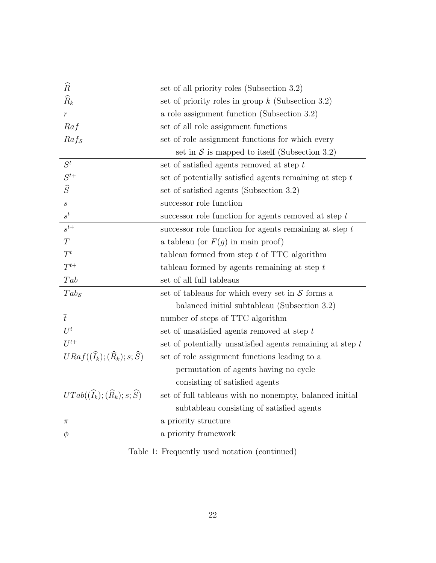| $\widehat{R}$                                            | set of all priority roles (Subsection 3.2)                  |  |
|----------------------------------------------------------|-------------------------------------------------------------|--|
| $\widehat{R}_k$                                          | set of priority roles in group $k$ (Subsection 3.2)         |  |
| $\boldsymbol{r}$                                         | a role assignment function (Subsection 3.2)                 |  |
| Ra f                                                     | set of all role assignment functions                        |  |
| $Raf_{\mathcal{S}}$                                      | set of role assignment functions for which every            |  |
|                                                          | set in $S$ is mapped to itself (Subsection 3.2)             |  |
| $S^t$                                                    | set of satisfied agents removed at step $t$                 |  |
| $S^{t+}$ $\widehat{S}$                                   | set of potentially satisfied agents remaining at step $t$   |  |
|                                                          | set of satisfied agents (Subsection 3.2)                    |  |
| $\mathcal{S}_{\mathcal{S}}$                              | successor role function                                     |  |
| $s^t$                                                    | successor role function for agents removed at step $t$      |  |
| $s^{t+}$                                                 | successor role function for agents remaining at step $t$    |  |
| T                                                        | a tableau (or $F(g)$ in main proof)                         |  |
| $T^t$                                                    | tableau formed from step $t$ of TTC algorithm               |  |
| $T^{t+}$                                                 | tableau formed by agents remaining at step $t$              |  |
| Tab                                                      | set of all full tableaus                                    |  |
| $Tab_{\mathcal{S}}$                                      | set of tableaus for which every set in $S$ forms a          |  |
|                                                          | balanced initial subtableau (Subsection 3.2)                |  |
| $\overline{t}$                                           | number of steps of TTC algorithm                            |  |
| $U^t$                                                    | set of unsatisfied agents removed at step t                 |  |
| $U^{t+}$                                                 | set of potentially unsatisfied agents remaining at step $t$ |  |
| $URaf((\widehat{I}_k); (\widehat{R}_k); s; \widehat{S})$ | set of role assignment functions leading to a               |  |
|                                                          | permutation of agents having no cycle                       |  |
|                                                          | consisting of satisfied agents                              |  |
| $UTab((\widehat{I_k});(\widehat{R}_k);s;\widehat{S})$    | set of full tableaus with no nonempty, balanced initial     |  |
|                                                          | subtableau consisting of satisfied agents                   |  |
| $\pi$                                                    | a priority structure                                        |  |
| $\phi$                                                   | a priority framework                                        |  |
|                                                          |                                                             |  |

Table 1: Frequently used notation (continued)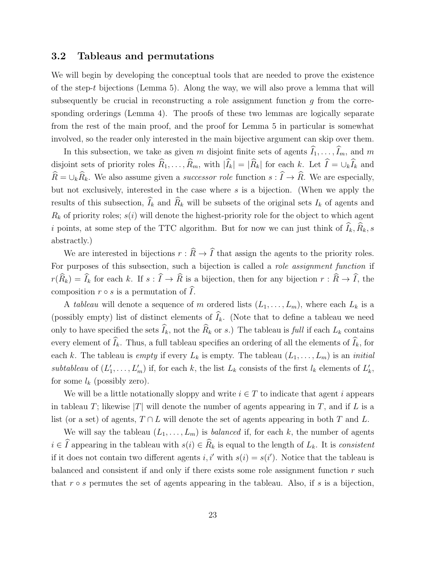#### 3.2 Tableaus and permutations

We will begin by developing the conceptual tools that are needed to prove the existence of the step-t bijections (Lemma 5). Along the way, we will also prove a lemma that will subsequently be crucial in reconstructing a role assignment function  $g$  from the corresponding orderings (Lemma 4). The proofs of these two lemmas are logically separate from the rest of the main proof, and the proof for Lemma 5 in particular is somewhat involved, so the reader only interested in the main bijective argument can skip over them.

In this subsection, we take as given m disjoint finite sets of agents  $\widehat{I}_1, \ldots, \widehat{I}_m$ , and m disjoint sets of priority roles  $\widehat{R}_1, \ldots, \widehat{R}_m$ , with  $|\widehat{I}_k| = |\widehat{R}_k|$  for each k. Let  $\widehat{I} = \bigcup_k \widehat{I}_k$  and  $\widehat{R} = \cup_k \widehat{R}_k$ . We also assume given a *successor role* function  $s : \widehat{I} \to \widehat{R}$ . We are especially, but not exclusively, interested in the case where  $s$  is a bijection. (When we apply the results of this subsection,  $\widehat{I}_k$  and  $\widehat{R}_k$  will be subsets of the original sets  $I_k$  of agents and  $R_k$  of priority roles;  $s(i)$  will denote the highest-priority role for the object to which agent i points, at some step of the TTC algorithm. But for now we can just think of  $\widehat{I}_k$ ,  $\widehat{R}_k$ , s abstractly.)

We are interested in bijections  $r : \widehat{R} \to \widehat{I}$  that assign the agents to the priority roles. For purposes of this subsection, such a bijection is called a *role assignment function* if  $r(\widehat{R}_k) = \widehat{I}_k$  for each k. If  $s : \widehat{I} \to \widehat{R}$  is a bijection, then for any bijection  $r : \widehat{R} \to \widehat{I}$ , the composition  $r \circ s$  is a permutation of  $\widehat{I}$ .

A *tableau* will denote a sequence of m ordered lists  $(L_1, \ldots, L_m)$ , where each  $L_k$  is a (possibly empty) list of distinct elements of  $\widehat{I}_k$ . (Note that to define a tableau we need only to have specified the sets  $\widehat{I}_k$ , not the  $\widehat{R}_k$  or s.) The tableau is *full* if each  $L_k$  contains every element of  $\widehat{I}_k$ . Thus, a full tableau specifies an ordering of all the elements of  $\widehat{I}_k$ , for each k. The tableau is *empty* if every  $L_k$  is empty. The tableau  $(L_1, \ldots, L_m)$  is an *initial* subtableau of  $(L'_1, \ldots, L'_m)$  if, for each k, the list  $L_k$  consists of the first  $l_k$  elements of  $L'_k$ , for some  $l_k$  (possibly zero).

We will be a little notationally sloppy and write  $i \in T$  to indicate that agent i appears in tableau T; likewise |T| will denote the number of agents appearing in T, and if L is a list (or a set) of agents,  $T \cap L$  will denote the set of agents appearing in both T and L.

We will say the tableau  $(L_1, \ldots, L_m)$  is *balanced* if, for each k, the number of agents  $i \in \hat{I}$  appearing in the tableau with  $s(i) \in \hat{R}_k$  is equal to the length of  $L_k$ . It is *consistent* if it does not contain two different agents i, i' with  $s(i) = s(i')$ . Notice that the tableau is balanced and consistent if and only if there exists some role assignment function  $r$  such that  $r \circ s$  permutes the set of agents appearing in the tableau. Also, if s is a bijection,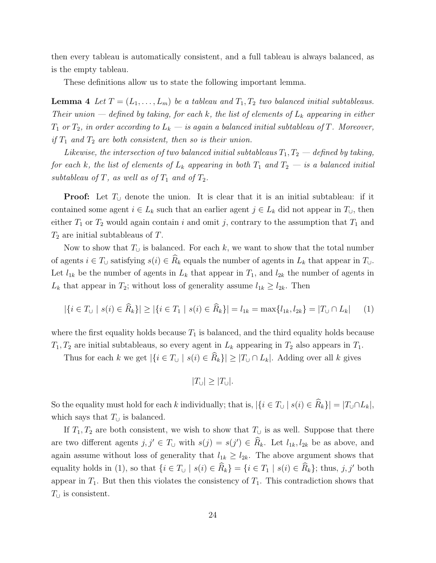then every tableau is automatically consistent, and a full tableau is always balanced, as is the empty tableau.

These definitions allow us to state the following important lemma.

**Lemma 4** Let  $T = (L_1, \ldots, L_m)$  be a tableau and  $T_1, T_2$  two balanced initial subtableaus. *Their union — defined by taking, for each k, the list of elements of*  $L_k$  *appearing in either*  $T_1$  *or*  $T_2$ *, in order according to*  $L_k$  — *is again a balanced initial subtableau of* T. Moreover, *if*  $T_1$  *and*  $T_2$  *are both consistent, then so is their union.* 

*Likewise, the intersection of two balanced initial subtableaus*  $T_1, T_2$  *— defined by taking, for each* k, the list of elements of  $L_k$  appearing in both  $T_1$  and  $T_2$  — is a balanced initial *subtableau of* T, as well as of  $T_1$  *and of*  $T_2$ *.* 

**Proof:** Let  $T_{\cup}$  denote the union. It is clear that it is an initial subtableau: if it contained some agent  $i \in L_k$  such that an earlier agent  $j \in L_k$  did not appear in  $T_{\cup}$ , then either  $T_1$  or  $T_2$  would again contain i and omit j, contrary to the assumption that  $T_1$  and  $T_2$  are initial subtableaus of T.

Now to show that  $T_{\cup}$  is balanced. For each k, we want to show that the total number of agents  $i \in T_{\cup}$  satisfying  $s(i) \in \widehat{R}_k$  equals the number of agents in  $L_k$  that appear in  $T_{\cup}$ . Let  $l_{1k}$  be the number of agents in  $L_k$  that appear in  $T_1$ , and  $l_{2k}$  the number of agents in  $L_k$  that appear in  $T_2$ ; without loss of generality assume  $l_{1k} \geq l_{2k}$ . Then

$$
|\{i \in T_{\cup} \mid s(i) \in \widehat{R}_k\}| \ge |\{i \in T_1 \mid s(i) \in \widehat{R}_k\}| = l_{1k} = \max\{l_{1k}, l_{2k}\} = |T_{\cup} \cap L_k| \qquad (1)
$$

where the first equality holds because  $T_1$  is balanced, and the third equality holds because  $T_1, T_2$  are initial subtableaus, so every agent in  $L_k$  appearing in  $T_2$  also appears in  $T_1$ .

Thus for each k we get  $|\{i \in T_{\cup} \mid s(i) \in \widehat{R}_k\}| \geq |T_{\cup} \cap L_k|$ . Adding over all k gives

$$
|T_{\cup}| \geq |T_{\cup}|.
$$

So the equality must hold for each k individually; that is,  $|\{i \in T_{\cup} \mid s(i) \in \widehat{R}_k\}| = |T_{\cup} \cap L_k|$ , which says that  $T_{\cup}$  is balanced.

If  $T_1, T_2$  are both consistent, we wish to show that  $T_{\cup}$  is as well. Suppose that there are two different agents  $j, j' \in T_{\cup}$  with  $s(j) = s(j') \in \hat{R}_k$ . Let  $l_{1k}, l_{2k}$  be as above, and again assume without loss of generality that  $l_{1k} \geq l_{2k}$ . The above argument shows that equality holds in (1), so that  $\{i \in T_{\cup} \mid s(i) \in \widehat{R}_k\} = \{i \in T_1 \mid s(i) \in \widehat{R}_k\}$ ; thus, j, j' both appear in  $T_1$ . But then this violates the consistency of  $T_1$ . This contradiction shows that  $T_{\cup}$  is consistent.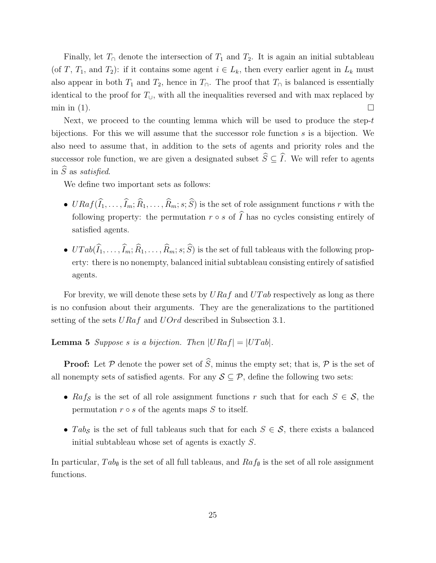Finally, let  $T_{\cap}$  denote the intersection of  $T_1$  and  $T_2$ . It is again an initial subtableau (of T, T<sub>1</sub>, and T<sub>2</sub>): if it contains some agent  $i \in L_k$ , then every earlier agent in  $L_k$  must also appear in both  $T_1$  and  $T_2$ , hence in  $T_0$ . The proof that  $T_0$  is balanced is essentially identical to the proof for  $T_{\cup}$ , with all the inequalities reversed and with max replaced by min in (1).

Next, we proceed to the counting lemma which will be used to produce the step- $t$ bijections. For this we will assume that the successor role function  $s$  is a bijection. We also need to assume that, in addition to the sets of agents and priority roles and the successor role function, we are given a designated subset  $\widehat{S} \subseteq \widehat{I}$ . We will refer to agents in  $\widehat{S}$  as *satisfied*.

We define two important sets as follows:

- $URaf(\widehat{I}_1,\ldots,\widehat{I}_m;\widehat{R}_1,\ldots,\widehat{R}_m;s;\widehat{S})$  is the set of role assignment functions r with the following property: the permutation  $r \circ s$  of  $\widehat{I}$  has no cycles consisting entirely of satisfied agents.
- $UTab(\widehat{I}_1,\ldots,\widehat{I}_m;\widehat{R}_1,\ldots,\widehat{R}_m;s;\widehat{S})$  is the set of full tableaus with the following property: there is no nonempty, balanced initial subtableau consisting entirely of satisfied agents.

For brevity, we will denote these sets by  $URaf$  and  $UTab$  respectively as long as there is no confusion about their arguments. They are the generalizations to the partitioned setting of the sets URaf and UOrd described in Subsection 3.1.

**Lemma 5** *Suppose s is a bijection. Then*  $|URaf| = |UTab|$ *.* 

**Proof:** Let  $\mathcal P$  denote the power set of  $\widehat{S}$ , minus the empty set; that is,  $\mathcal P$  is the set of all nonempty sets of satisfied agents. For any  $S \subseteq \mathcal{P}$ , define the following two sets:

- $Raf_{\mathcal{S}}$  is the set of all role assignment functions r such that for each  $S \in \mathcal{S}$ , the permutation  $r \circ s$  of the agents maps S to itself.
- Tabs is the set of full tableaus such that for each  $S \in \mathcal{S}$ , there exists a balanced initial subtableau whose set of agents is exactly S.

In particular,  $Tab_{\emptyset}$  is the set of all full tableaus, and  $Ra f_{\emptyset}$  is the set of all role assignment functions.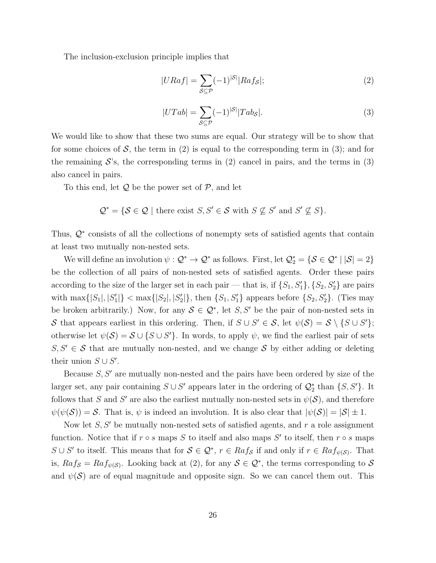The inclusion-exclusion principle implies that

$$
|URaf| = \sum_{\mathcal{S}\subseteq\mathcal{P}} (-1)^{|\mathcal{S}|} |Raf_{\mathcal{S}}|; \tag{2}
$$

$$
|UTab| = \sum_{\mathcal{S}\subseteq\mathcal{P}} (-1)^{|\mathcal{S}|} |Tab_{\mathcal{S}}|.
$$
 (3)

We would like to show that these two sums are equal. Our strategy will be to show that for some choices of  $S$ , the term in (2) is equal to the corresponding term in (3); and for the remaining  $\mathcal{S}$ 's, the corresponding terms in (2) cancel in pairs, and the terms in (3) also cancel in pairs.

To this end, let  $\mathcal Q$  be the power set of  $\mathcal P$ , and let

$$
\mathcal{Q}^* = \{ \mathcal{S} \in \mathcal{Q} \mid \text{there exist } S, S' \in \mathcal{S} \text{ with } S \nsubseteq S' \text{ and } S' \nsubseteq S \}.
$$

Thus,  $\mathcal{Q}^*$  consists of all the collections of nonempty sets of satisfied agents that contain at least two mutually non-nested sets.

We will define an involution  $\psi: \mathcal{Q}^* \to \mathcal{Q}^*$  as follows. First, let  $\mathcal{Q}_2^* = \{ \mathcal{S} \in \mathcal{Q}^* \mid |\mathcal{S}| = 2 \}$ be the collection of all pairs of non-nested sets of satisfied agents. Order these pairs according to the size of the larger set in each pair — that is, if  $\{S_1, S'_1\}$ ,  $\{S_2, S'_2\}$  are pairs with  $\max\{|S_1|, |S'_1|\} < \max\{|S_2|, |S'_2|\}$ , then  $\{S_1, S'_1\}$  appears before  $\{S_2, S'_2\}$ . (Ties may be broken arbitrarily.) Now, for any  $S \in \mathcal{Q}^*$ , let S, S' be the pair of non-nested sets in S that appears earliest in this ordering. Then, if  $S \cup S' \in S$ , let  $\psi(S) = S \setminus \{S \cup S'\};$ otherwise let  $\psi(\mathcal{S}) = \mathcal{S} \cup \{S \cup S'\}$ . In words, to apply  $\psi$ , we find the earliest pair of sets  $S, S' \in \mathcal{S}$  that are mutually non-nested, and we change S by either adding or deleting their union  $S \cup S'$ .

Because  $S, S'$  are mutually non-nested and the pairs have been ordered by size of the larger set, any pair containing  $S \cup S'$  appears later in the ordering of  $\mathcal{Q}_2^*$  than  $\{S, S'\}$ . It follows that S and S' are also the earliest mutually non-nested sets in  $\psi(\mathcal{S})$ , and therefore  $\psi(\psi(\mathcal{S})) = \mathcal{S}$ . That is,  $\psi$  is indeed an involution. It is also clear that  $|\psi(\mathcal{S})| = |\mathcal{S}| \pm 1$ .

Now let  $S, S'$  be mutually non-nested sets of satisfied agents, and r a role assignment function. Notice that if  $r \circ s$  maps S to itself and also maps S' to itself, then  $r \circ s$  maps S ∪ S' to itself. This means that for  $S \in \mathcal{Q}^*, r \in \text{Raf}_{S}$  if and only if  $r \in \text{Raf}_{\psi(S)}$ . That is,  $Ra f_{\mathcal{S}} = Ra f_{\psi}(\mathcal{S})$ . Looking back at (2), for any  $\mathcal{S} \in \mathcal{Q}^*$ , the terms corresponding to  $\mathcal{S}$ and  $\psi(\mathcal{S})$  are of equal magnitude and opposite sign. So we can cancel them out. This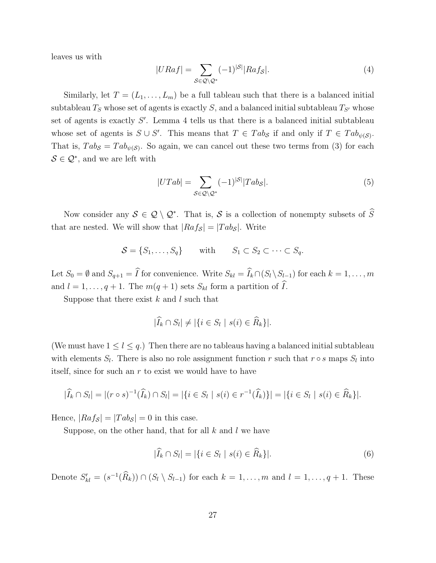leaves us with

$$
|URaf| = \sum_{\mathcal{S}\in\mathcal{Q}\backslash\mathcal{Q}^*} (-1)^{|\mathcal{S}|} |Raf_{\mathcal{S}}|.
$$
 (4)

Similarly, let  $T = (L_1, \ldots, L_m)$  be a full tableau such that there is a balanced initial subtableau  $T_S$  whose set of agents is exactly S, and a balanced initial subtableau  $T_{S'}$  whose set of agents is exactly S'. Lemma 4 tells us that there is a balanced initial subtableau whose set of agents is  $S \cup S'$ . This means that  $T \in Tab_{\mathcal{S}}$  if and only if  $T \in Tab_{\psi(\mathcal{S})}$ . That is,  $Tab_{\mathcal{S}} = Tab_{\psi(\mathcal{S})}$ . So again, we can cancel out these two terms from (3) for each  $S \in \mathcal{Q}^*$ , and we are left with

$$
|UTab| = \sum_{\mathcal{S}\in\mathcal{Q}\backslash\mathcal{Q}^*} (-1)^{|\mathcal{S}|} |Tab_{\mathcal{S}}|.
$$
 (5)

Now consider any  $S \in \mathcal{Q} \setminus \mathcal{Q}^*$ . That is, S is a collection of nonempty subsets of  $\hat{S}$ that are nested. We will show that  $|Raf_{\mathcal{S}}| = |Tab_{\mathcal{S}}|$ . Write

$$
\mathcal{S} = \{S_1, \dots, S_q\} \qquad \text{with} \qquad S_1 \subset S_2 \subset \dots \subset S_q.
$$

Let  $S_0 = \emptyset$  and  $S_{q+1} = \hat{I}$  for convenience. Write  $S_{kl} = \hat{I}_k \cap (S_l \setminus S_{l-1})$  for each  $k = 1, ..., m$ and  $l = 1, \ldots, q + 1$ . The  $m(q + 1)$  sets  $S_{kl}$  form a partition of  $\widehat{I}$ .

Suppose that there exist  $k$  and  $l$  such that

$$
|\tilde{I}_k \cap S_l| \neq |\{i \in S_l \mid s(i) \in \tilde{R}_k\}|.
$$

(We must have  $1 \leq l \leq q$ .) Then there are no tableaus having a balanced initial subtableau with elements  $S_l$ . There is also no role assignment function r such that  $r \circ s$  maps  $S_l$  into itself, since for such an r to exist we would have to have

$$
|\widehat{I}_k \cap S_l| = |(r \circ s)^{-1}(\widehat{I}_k) \cap S_l| = |\{i \in S_l \mid s(i) \in r^{-1}(\widehat{I}_k)\}| = |\{i \in S_l \mid s(i) \in \widehat{R}_k\}|.
$$

Hence,  $|Raf_{\mathcal{S}}| = |Tab_{\mathcal{S}}| = 0$  in this case.

Suppose, on the other hand, that for all  $k$  and  $l$  we have

$$
|\widehat{I}_k \cap S_l| = |\{i \in S_l \mid s(i) \in \widehat{R}_k\}|. \tag{6}
$$

Denote  $S'_{kl} = (s^{-1}(\hat{R}_k)) \cap (S_l \setminus S_{l-1})$  for each  $k = 1, \ldots, m$  and  $l = 1, \ldots, q + 1$ . These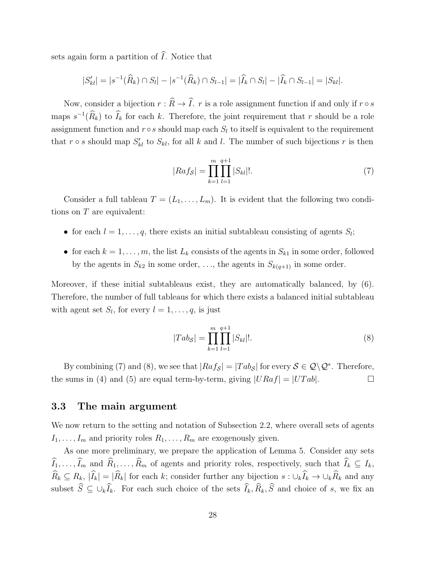sets again form a partition of  $\widehat{I}$ . Notice that

$$
|S'_{kl}| = |s^{-1}(\widehat{R}_k) \cap S_l| - |s^{-1}(\widehat{R}_k) \cap S_{l-1}| = |\widehat{I}_k \cap S_l| - |\widehat{I}_k \cap S_{l-1}| = |S_{kl}|.
$$

Now, consider a bijection  $r : \hat{R} \to \hat{I}$ . r is a role assignment function if and only if  $r \circ s$ maps  $s^{-1}(\widehat{R}_k)$  to  $\widehat{I}_k$  for each k. Therefore, the joint requirement that r should be a role assignment function and  $r \circ s$  should map each  $S_l$  to itself is equivalent to the requirement that  $r \circ s$  should map  $S'_{kl}$  to  $S_{kl}$ , for all k and l. The number of such bijections r is then

$$
|Raf_{\mathcal{S}}| = \prod_{k=1}^{m} \prod_{l=1}^{q+1} |S_{kl}|!.
$$
 (7)

Consider a full tableau  $T = (L_1, \ldots, L_m)$ . It is evident that the following two conditions on  $T$  are equivalent:

- for each  $l = 1, \ldots, q$ , there exists an initial subtableau consisting of agents  $S_l$ ;
- for each  $k = 1, \ldots, m$ , the list  $L_k$  consists of the agents in  $S_{k1}$  in some order, followed by the agents in  $S_{k2}$  in some order, ..., the agents in  $S_{k(q+1)}$  in some order.

Moreover, if these initial subtableaus exist, they are automatically balanced, by (6). Therefore, the number of full tableaus for which there exists a balanced initial subtableau with agent set  $S_l$ , for every  $l = 1, \ldots, q$ , is just

$$
|Tab_{\mathcal{S}}| = \prod_{k=1}^{m} \prod_{l=1}^{q+1} |S_{kl}|!.
$$
 (8)

By combining (7) and (8), we see that  $|Raf_{\mathcal{S}}| = |Tab_{\mathcal{S}}|$  for every  $\mathcal{S} \in \mathcal{Q}\backslash\mathcal{Q}^*$ . Therefore, the sums in (4) and (5) are equal term-by-term, giving  $|URaf| = |UTab|$ .

#### 3.3 The main argument

We now return to the setting and notation of Subsection 2.2, where overall sets of agents  $I_1, \ldots, I_m$  and priority roles  $R_1, \ldots, R_m$  are exogenously given.

As one more preliminary, we prepare the application of Lemma 5. Consider any sets  $\widehat{I}_1, \ldots, \widehat{I}_m$  and  $\widehat{R}_1, \ldots, \widehat{R}_m$  of agents and priority roles, respectively, such that  $\widehat{I}_k \subseteq I_k$ ,  $\widehat{R}_k \subseteq R_k$ ,  $|\widehat{I}_k| = |\widehat{R}_k|$  for each k; consider further any bijection  $s : \bigcup_k \widehat{I}_k \to \bigcup_k \widehat{R}_k$  and any subset  $\widehat{S} \subseteq \bigcup_k \widehat{I}_k$ . For each such choice of the sets  $\widehat{I}_k, \widehat{R}_k, \widehat{S}$  and choice of s, we fix an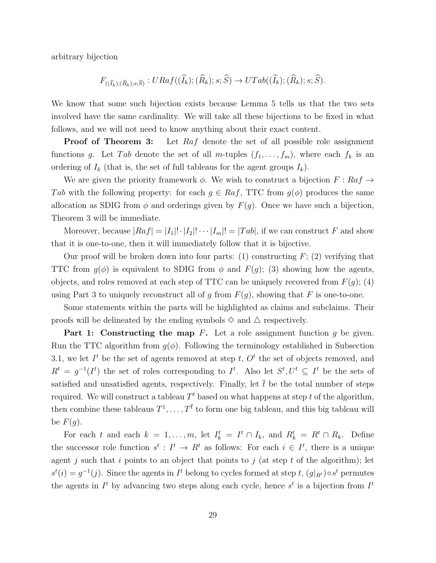arbitrary bijection

$$
F_{((\widehat{I}_{k});(\widehat{R}_{k});s;\widehat{S})}:URaf((\widehat{I}_{k});(\widehat{R}_{k});s;\widehat{S})\to UTab((\widehat{I}_{k});(\widehat{R}_{k});s;\widehat{S}).
$$

We know that some such bijection exists because Lemma 5 tells us that the two sets involved have the same cardinality. We will take all these bijections to be fixed in what follows, and we will not need to know anything about their exact content.

**Proof of Theorem 3:** Let Raf denote the set of all possible role assignment functions g. Let Tab denote the set of all m-tuples  $(f_1, \ldots, f_m)$ , where each  $f_k$  is an ordering of  $I_k$  (that is, the set of full tableaus for the agent groups  $I_k$ ).

We are given the priority framework  $\phi$ . We wish to construct a bijection  $F : \mathbb{R}af \to$ Tab with the following property: for each  $g \in \mathbb{R}af$ , TTC from  $g(\phi)$  produces the same allocation as SDIG from  $\phi$  and orderings given by  $F(g)$ . Once we have such a bijection, Theorem 3 will be immediate.

Moreover, because  $|Raf| = |I_1|! \cdot |I_2|! \cdots |I_m|! = |Tab|$ , if we can construct F and show that it is one-to-one, then it will immediately follow that it is bijective.

Our proof will be broken down into four parts: (1) constructing  $F$ ; (2) verifying that TTC from  $g(\phi)$  is equivalent to SDIG from  $\phi$  and  $F(g)$ ; (3) showing how the agents, objects, and roles removed at each step of TTC can be uniquely recovered from  $F(g)$ ; (4) using Part 3 to uniquely reconstruct all of g from  $F(g)$ , showing that F is one-to-one.

Some statements within the parts will be highlighted as claims and subclaims. Their proofs will be delineated by the ending symbols  $\diamond$  and  $\triangle$  respectively.

**Part 1: Constructing the map F.** Let a role assignment function g be given. Run the TTC algorithm from  $q(\phi)$ . Following the terminology established in Subsection 3.1, we let  $I<sup>t</sup>$  be the set of agents removed at step t,  $O<sup>t</sup>$  the set of objects removed, and  $R^t = g^{-1}(I^t)$  the set of roles corresponding to  $I^t$ . Also let  $S^t, U^t \subseteq I^t$  be the sets of satisfied and unsatisfied agents, respectively. Finally, let  $\bar{t}$  be the total number of steps required. We will construct a tableau  $T<sup>t</sup>$  based on what happens at step t of the algorithm, then combine these tableaus  $T^1, \ldots, T^{\bar{t}}$  to form one big tableau, and this big tableau will be  $F(q)$ .

For each t and each  $k = 1, ..., m$ , let  $I_k^t = I^t \cap I_k$ , and  $R_k^t = R^t \cap R_k$ . Define the successor role function  $s^t: I^t \to R^t$  as follows: For each  $i \in I^t$ , there is a unique agent j such that i points to an object that points to j (at step t of the algorithm); let  $s^t(i) = g^{-1}(j)$ . Since the agents in  $I^t$  belong to cycles formed at step t,  $(g|_{R^t}) \circ s^t$  permutes the agents in  $I^t$  by advancing two steps along each cycle, hence  $s^t$  is a bijection from  $I^t$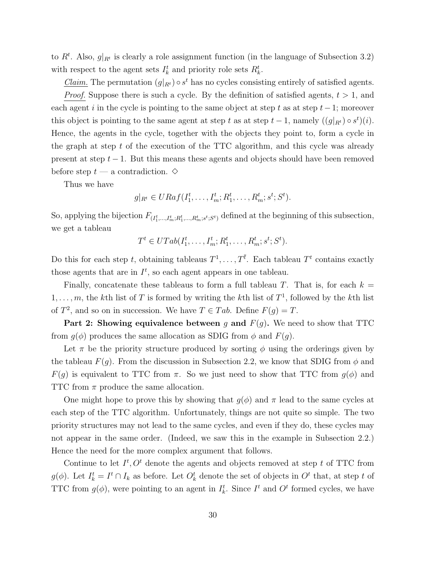to  $R^t$ . Also,  $g|_{R^t}$  is clearly a role assignment function (in the language of Subsection 3.2) with respect to the agent sets  $I_k^t$  and priority role sets  $R_k^t$ .

*Claim.* The permutation  $(g|_{R^t}) \circ s^t$  has no cycles consisting entirely of satisfied agents. *Proof.* Suppose there is such a cycle. By the definition of satisfied agents,  $t > 1$ , and each agent i in the cycle is pointing to the same object at step t as at step  $t-1$ ; moreover this object is pointing to the same agent at step t as at step  $t-1$ , namely  $((g|_{R^t}) \circ s^t)(i)$ . Hence, the agents in the cycle, together with the objects they point to, form a cycle in the graph at step  $t$  of the execution of the TTC algorithm, and this cycle was already present at step  $t - 1$ . But this means these agents and objects should have been removed before step  $t$  — a contradiction.  $\diamond$ 

Thus we have

$$
g|_{R^t} \in URaf(I_1^t, ..., I_m^t; R_1^t, ..., R_m^t; s^t; S^t).
$$

So, applying the bijection  $F_{(I_1^t,...,I_m^t;R_1^t,...,R_m^t;s^t;S^t)}$  defined at the beginning of this subsection, we get a tableau

$$
Tt \in UTab(I1t,...,Imt;R1t,...,Rmt;st;St).
$$

Do this for each step t, obtaining tableaus  $T^1, \ldots, T^{\overline{t}}$ . Each tableau  $T^t$  contains exactly those agents that are in  $I^t$ , so each agent appears in one tableau.

Finally, concatenate these tableaus to form a full tableau T. That is, for each  $k =$  $1, \ldots, m$ , the k<sup>th</sup> list of T is formed by writing the k<sup>th</sup> list of  $T<sup>1</sup>$ , followed by the k<sup>th</sup> list of  $T^2$ , and so on in succession. We have  $T \in Tab$ . Define  $F(g) = T$ .

Part 2: Showing equivalence between g and  $F(g)$ . We need to show that TTC from  $q(\phi)$  produces the same allocation as SDIG from  $\phi$  and  $F(q)$ .

Let  $\pi$  be the priority structure produced by sorting  $\phi$  using the orderings given by the tableau  $F(g)$ . From the discussion in Subsection 2.2, we know that SDIG from  $\phi$  and  $F(g)$  is equivalent to TTC from  $\pi$ . So we just need to show that TTC from  $g(\phi)$  and TTC from  $\pi$  produce the same allocation.

One might hope to prove this by showing that  $g(\phi)$  and  $\pi$  lead to the same cycles at each step of the TTC algorithm. Unfortunately, things are not quite so simple. The two priority structures may not lead to the same cycles, and even if they do, these cycles may not appear in the same order. (Indeed, we saw this in the example in Subsection 2.2.) Hence the need for the more complex argument that follows.

Continue to let  $I^t$ ,  $O^t$  denote the agents and objects removed at step t of TTC from  $g(\phi)$ . Let  $I_k^t = I^t \cap I_k$  as before. Let  $O_k^t$  denote the set of objects in  $O^t$  that, at step t of TTC from  $g(\phi)$ , were pointing to an agent in  $I_k^t$ . Since  $I^t$  and  $O^t$  formed cycles, we have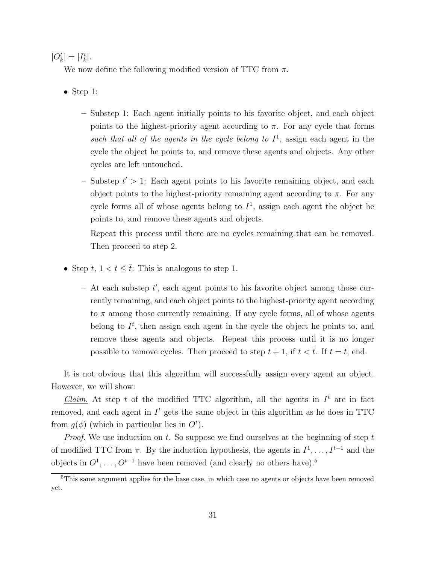### $|O_k^t| = |I_k^t|.$

We now define the following modified version of TTC from  $\pi$ .

• Step 1:

- Substep 1: Each agent initially points to his favorite object, and each object points to the highest-priority agent according to  $\pi$ . For any cycle that forms such that all of the agents in the cycle belong to  $I^1$ , assign each agent in the cycle the object he points to, and remove these agents and objects. Any other cycles are left untouched.
- Substep  $t' > 1$ : Each agent points to his favorite remaining object, and each object points to the highest-priority remaining agent according to  $\pi$ . For any cycle forms all of whose agents belong to  $I^1$ , assign each agent the object he points to, and remove these agents and objects.

Repeat this process until there are no cycles remaining that can be removed. Then proceed to step 2.

- Step  $t, 1 < t \leq \overline{t}$ : This is analogous to step 1.
	- $-$  At each substep  $t'$ , each agent points to his favorite object among those currently remaining, and each object points to the highest-priority agent according to  $\pi$  among those currently remaining. If any cycle forms, all of whose agents belong to  $I<sup>t</sup>$ , then assign each agent in the cycle the object he points to, and remove these agents and objects. Repeat this process until it is no longer possible to remove cycles. Then proceed to step  $t + 1$ , if  $t < \overline{t}$ . If  $t = \overline{t}$ , end.

It is not obvious that this algorithm will successfully assign every agent an object. However, we will show:

*Claim.* At step t of the modified TTC algorithm, all the agents in  $I<sup>t</sup>$  are in fact removed, and each agent in  $I<sup>t</sup>$  gets the same object in this algorithm as he does in TTC from  $g(\phi)$  (which in particular lies in  $O<sup>t</sup>$ ).

*Proof.* We use induction on  $t$ . So suppose we find ourselves at the beginning of step  $t$ of modified TTC from  $\pi$ . By the induction hypothesis, the agents in  $I^1, \ldots, I^{t-1}$  and the objects in  $O^1, \ldots, O^{t-1}$  have been removed (and clearly no others have).<sup>5</sup>

<sup>&</sup>lt;sup>5</sup>This same argument applies for the base case, in which case no agents or objects have been removed yet.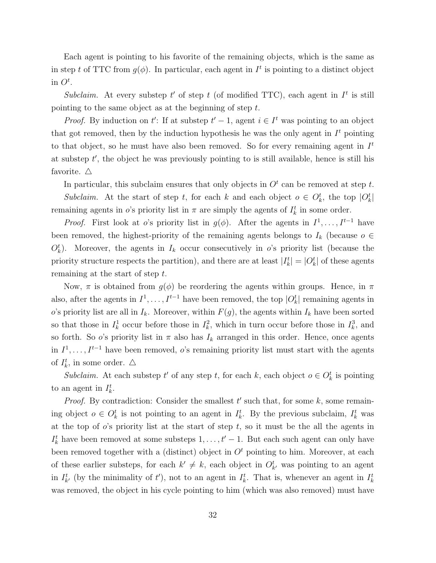Each agent is pointing to his favorite of the remaining objects, which is the same as in step t of TTC from  $g(\phi)$ . In particular, each agent in  $I^t$  is pointing to a distinct object in  $O^t$ .

Subclaim. At every substep  $t'$  of step  $t$  (of modified TTC), each agent in  $I^t$  is still pointing to the same object as at the beginning of step t.

*Proof.* By induction on t': If at substep  $t' - 1$ , agent  $i \in I^t$  was pointing to an object that got removed, then by the induction hypothesis he was the only agent in  $I<sup>t</sup>$  pointing to that object, so he must have also been removed. So for every remaining agent in  $I<sup>t</sup>$ at substep t ′ , the object he was previously pointing to is still available, hence is still his favorite.  $\triangle$ 

In particular, this subclaim ensures that only objects in  $O<sup>t</sup>$  can be removed at step t. *Subclaim.* At the start of step t, for each k and each object  $o \in O_k^t$ , the top  $|O_k^t|$ remaining agents in  $o$ 's priority list in  $\pi$  are simply the agents of  $I_k^t$  in some order.

*Proof.* First look at o's priority list in  $g(\phi)$ . After the agents in  $I^1, \ldots, I^{t-1}$  have been removed, the highest-priority of the remaining agents belongs to  $I_k$  (because  $o \in$  $O_k^t$ ). Moreover, the agents in  $I_k$  occur consecutively in o's priority list (because the priority structure respects the partition), and there are at least  $|I_k^t| = |O_k^t|$  of these agents remaining at the start of step t.

Now,  $\pi$  is obtained from  $g(\phi)$  be reordering the agents within groups. Hence, in  $\pi$ also, after the agents in  $I^1, \ldots, I^{t-1}$  have been removed, the top  $|O_k^t|$  remaining agents in o's priority list are all in  $I_k$ . Moreover, within  $F(g)$ , the agents within  $I_k$  have been sorted so that those in  $I_k^1$  occur before those in  $I_k^2$ , which in turn occur before those in  $I_k^3$ , and so forth. So o's priority list in  $\pi$  also has  $I_k$  arranged in this order. Hence, once agents in  $I^1, \ldots, I^{t-1}$  have been removed, o's remaining priority list must start with the agents of  $I_k^t$ , in some order.  $\Delta$ 

*Subclaim.* At each substep t' of any step t, for each k, each object  $o \in O_k^t$  is pointing to an agent in  $I_k^t$ .

*Proof.* By contradiction: Consider the smallest  $t'$  such that, for some  $k$ , some remaining object  $o \in O_k^t$  is not pointing to an agent in  $I_k^t$ . By the previous subclaim,  $I_k^t$  was at the top of  $o$ 's priority list at the start of step  $t$ , so it must be the all the agents in  $I_k^t$  have been removed at some substeps  $1, \ldots, t'-1$ . But each such agent can only have been removed together with a (distinct) object in  $O<sup>t</sup>$  pointing to him. Moreover, at each of these earlier substeps, for each  $k' \neq k$ , each object in  $O_{k'}^t$  was pointing to an agent in  $I_{k'}^t$  (by the minimality of t'), not to an agent in  $I_k^t$ . That is, whenever an agent in  $I_k^t$ was removed, the object in his cycle pointing to him (which was also removed) must have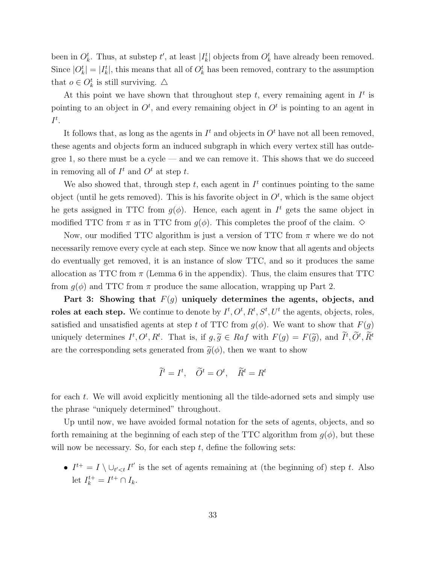been in  $O_k^t$ . Thus, at substep t', at least  $|I_k^t|$  objects from  $O_k^t$  have already been removed. Since  $|O_k^t| = |I_k^t|$ , this means that all of  $O_k^t$  has been removed, contrary to the assumption that  $o \in O_k^t$  is still surviving.  $\triangle$ 

At this point we have shown that throughout step  $t$ , every remaining agent in  $I<sup>t</sup>$  is pointing to an object in  $O<sup>t</sup>$ , and every remaining object in  $O<sup>t</sup>$  is pointing to an agent in  $I^t$ .

It follows that, as long as the agents in  $I<sup>t</sup>$  and objects in  $O<sup>t</sup>$  have not all been removed, these agents and objects form an induced subgraph in which every vertex still has outdegree 1, so there must be a cycle — and we can remove it. This shows that we do succeed in removing all of  $I^t$  and  $O^t$  at step t.

We also showed that, through step  $t$ , each agent in  $I<sup>t</sup>$  continues pointing to the same object (until he gets removed). This is his favorite object in  $O<sup>t</sup>$ , which is the same object he gets assigned in TTC from  $g(\phi)$ . Hence, each agent in  $I^t$  gets the same object in modified TTC from  $\pi$  as in TTC from  $g(\phi)$ . This completes the proof of the claim.  $\diamond$ 

Now, our modified TTC algorithm is just a version of TTC from  $\pi$  where we do not necessarily remove every cycle at each step. Since we now know that all agents and objects do eventually get removed, it is an instance of slow TTC, and so it produces the same allocation as TTC from  $\pi$  (Lemma 6 in the appendix). Thus, the claim ensures that TTC from  $g(\phi)$  and TTC from  $\pi$  produce the same allocation, wrapping up Part 2.

Part 3: Showing that  $F(g)$  uniquely determines the agents, objects, and roles at each step. We continue to denote by  $I^t, O^t, R^t, S^t, U^t$  the agents, objects, roles, satisfied and unsatisfied agents at step t of TTC from  $g(\phi)$ . We want to show that  $F(g)$ uniquely determines  $I^t, O^t, R^t$ . That is, if  $g, \tilde{g} \in Ra f$  with  $F(g) = F(\tilde{g})$ , and  $\tilde{I}^t, \tilde{O}^t, R^t$ are the corresponding sets generated from  $\tilde{g}(\phi)$ , then we want to show

$$
\widetilde{I}^t = I^t, \quad \widetilde{O}^t = O^t, \quad \widetilde{R}^t = R^t
$$

for each t. We will avoid explicitly mentioning all the tilde-adorned sets and simply use the phrase "uniquely determined" throughout.

Up until now, we have avoided formal notation for the sets of agents, objects, and so forth remaining at the beginning of each step of the TTC algorithm from  $g(\phi)$ , but these will now be necessary. So, for each step  $t$ , define the following sets:

•  $I^{t+} = I \setminus \cup_{t' < t} I^{t'}$  is the set of agents remaining at (the beginning of) step t. Also let  $I_k^{t+} = I^{t+} \cap I_k$ .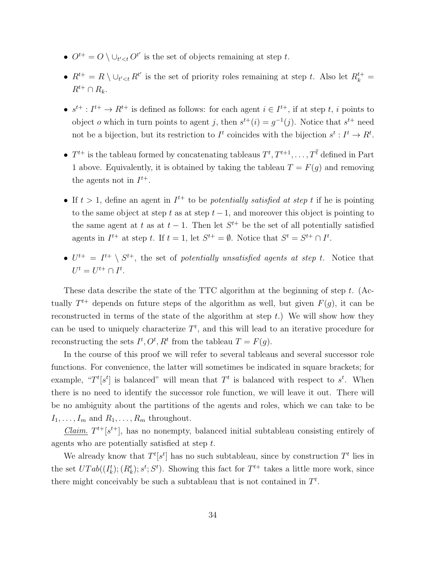- $O^{t+} = O \setminus \bigcup_{t' < t} O^{t'}$  is the set of objects remaining at step t.
- $R^{t+} = R \setminus \cup_{t' < t} R^{t'}$  is the set of priority roles remaining at step t. Also let  $R_k^{t+} =$  $R^{t+} \cap R_k$ .
- $s^{t+}: I^{t+} \to R^{t+}$  is defined as follows: for each agent  $i \in I^{t+}$ , if at step t, i points to object *o* which in turn points to agent *j*, then  $s^{t+}(i) = g^{-1}(j)$ . Notice that  $s^{t+}$  need not be a bijection, but its restriction to  $I^t$  coincides with the bijection  $s^t: I^t \to R^t$ .
- $T^{t+1}$  is the tableau formed by concatenating tableaus  $T^t, T^{t+1}, \ldots, T^{\bar{t}}$  defined in Part 1 above. Equivalently, it is obtained by taking the tableau  $T = F(g)$  and removing the agents not in  $I^{t+}$ .
- If  $t > 1$ , define an agent in  $I^{t+}$  to be *potentially satisfied at step* t if he is pointing to the same object at step t as at step  $t-1$ , and moreover this object is pointing to the same agent at t as at  $t-1$ . Then let  $S^{t+}$  be the set of all potentially satisfied agents in  $I^{t+}$  at step t. If  $t = 1$ , let  $S^{t+} = \emptyset$ . Notice that  $S^t = S^{t+} \cap I^t$ .
- $U^{t+} = I^{t+} \setminus S^{t+}$ , the set of *potentially unsatisfied agents at step t*. Notice that  $U^t = U^{t+} \cap I^t$ .

These data describe the state of the TTC algorithm at the beginning of step  $t$ . (Actually  $T^{t+}$  depends on future steps of the algorithm as well, but given  $F(g)$ , it can be reconstructed in terms of the state of the algorithm at step  $t$ .) We will show how they can be used to uniquely characterize  $T<sup>t</sup>$ , and this will lead to an iterative procedure for reconstructing the sets  $I^t$ ,  $O^t$ ,  $R^t$  from the tableau  $T = F(g)$ .

In the course of this proof we will refer to several tableaus and several successor role functions. For convenience, the latter will sometimes be indicated in square brackets; for example, " $T^t[s^t]$  is balanced" will mean that  $T^t$  is balanced with respect to  $s^t$ . When there is no need to identify the successor role function, we will leave it out. There will be no ambiguity about the partitions of the agents and roles, which we can take to be  $I_1, \ldots, I_m$  and  $R_1, \ldots, R_m$  throughout.

*Claim.*  $T^{t+}[s^{t+}]$ , has no nonempty, balanced initial subtableau consisting entirely of agents who are potentially satisfied at step t.

We already know that  $T^t[s^t]$  has no such subtableau, since by construction  $T^t$  lies in the set  $UTab((I_k^t); (R_k^t); s^t; S^t)$ . Showing this fact for  $T^{t+}$  takes a little more work, since there might conceivably be such a subtableau that is not contained in  $T<sup>t</sup>$ .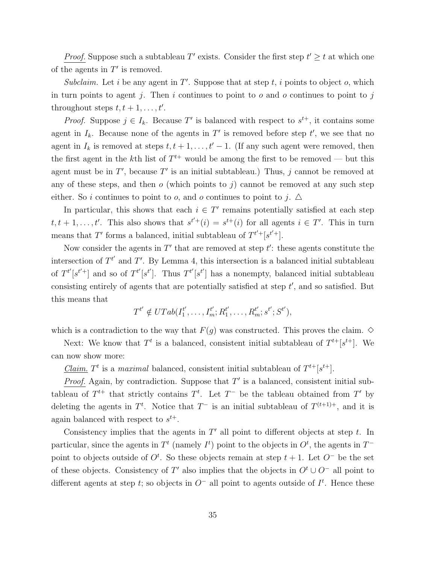*Proof.* Suppose such a subtableau T' exists. Consider the first step  $t' \geq t$  at which one of the agents in  $T'$  is removed.

Subclaim. Let i be any agent in  $T'$ . Suppose that at step  $t$ , i points to object  $o$ , which in turn points to agent j. Then i continues to point to  $\sigma$  and  $\sigma$  continues to point to j throughout steps  $t, t + 1, \ldots, t'$ .

*Proof.* Suppose  $j \in I_k$ . Because T' is balanced with respect to  $s^{t+}$ , it contains some agent in  $I_k$ . Because none of the agents in T' is removed before step t', we see that no agent in  $I_k$  is removed at steps  $t, t + 1, \ldots, t' - 1$ . (If any such agent were removed, then the first agent in the k<sup>th</sup> list of  $T^{t+}$  would be among the first to be removed — but this agent must be in  $T'$ , because  $T'$  is an initial subtableau.) Thus, j cannot be removed at any of these steps, and then  $o$  (which points to j) cannot be removed at any such step either. So i continues to point to o, and o continues to point to j.  $\Delta$ 

In particular, this shows that each  $i \in T'$  remains potentially satisfied at each step  $t, t+1, \ldots, t'$ . This also shows that  $s^{t'}+(i) = s^{t+}(i)$  for all agents  $i \in T'$ . This in turn means that T' forms a balanced, initial subtableau of  $T^{t'}$ <sup>[st'+</sup>].

Now consider the agents in  $T'$  that are removed at step  $t'$ : these agents constitute the intersection of  $T'$  and  $T'$ . By Lemma 4, this intersection is a balanced initial subtableau of  $T^{t'}[s^{t'}]$  and so of  $T^{t'}[s^{t'}]$ . Thus  $T^{t'}[s^{t'}]$  has a nonempty, balanced initial subtableau consisting entirely of agents that are potentially satisfied at step  $t'$ , and so satisfied. But this means that

$$
T^{t'} \notin UTab(I_1^{t'}, \ldots, I_m^{t'}; R_1^{t'}, \ldots, R_m^{t'}; s^{t'}; S^{t'}),
$$

which is a contradiction to the way that  $F(g)$  was constructed. This proves the claim.  $\diamond$ 

Next: We know that  $T^t$  is a balanced, consistent initial subtableau of  $T^{t+}[s^{t+}]$ . We can now show more:

*Claim.*  $T^t$  is a *maximal* balanced, consistent initial subtableau of  $T^{t+}[s^{t+}]$ .

*Proof.* Again, by contradiction. Suppose that  $T'$  is a balanced, consistent initial subtableau of  $T^{t+}$  that strictly contains  $T^{t}$ . Let  $T^{-}$  be the tableau obtained from  $T'$  by deleting the agents in  $T<sup>t</sup>$ . Notice that  $T<sup>-</sup>$  is an initial subtableau of  $T<sup>(t+1)+</sup>$ , and it is again balanced with respect to  $s^{t+}$ .

Consistency implies that the agents in  $T'$  all point to different objects at step  $t$ . In particular, since the agents in  $T<sup>t</sup>$  (namely  $I<sup>t</sup>$ ) point to the objects in  $O<sup>t</sup>$ , the agents in  $T$ point to objects outside of  $O<sup>t</sup>$ . So these objects remain at step  $t + 1$ . Let  $O^-$  be the set of these objects. Consistency of T' also implies that the objects in  $O<sup>t</sup> \cup O<sup>-</sup>$  all point to different agents at step t; so objects in  $O^-$  all point to agents outside of  $I^t$ . Hence these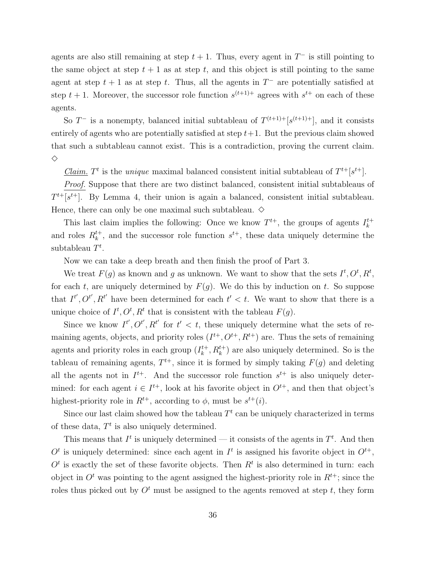agents are also still remaining at step  $t + 1$ . Thus, every agent in  $T^-$  is still pointing to the same object at step  $t + 1$  as at step t, and this object is still pointing to the same agent at step  $t + 1$  as at step t. Thus, all the agents in  $T^-$  are potentially satisfied at step  $t + 1$ . Moreover, the successor role function  $s^{(t+1)+}$  agrees with  $s^{t+}$  on each of these agents.

So  $T^-$  is a nonempty, balanced initial subtableau of  $T^{(t+1)+}[s^{(t+1)+}]$ , and it consists entirely of agents who are potentially satisfied at step  $t+1$ . But the previous claim showed that such a subtableau cannot exist. This is a contradiction, proving the current claim.  $\Diamond$ 

*Claim.*  $T^t$  is the *unique* maximal balanced consistent initial subtableau of  $T^{t+}[s^{t+}]$ .

*Proof.* Suppose that there are two distinct balanced, consistent initial subtableaus of  $T^{t+}[s^{t+}]$ . By Lemma 4, their union is again a balanced, consistent initial subtableau. Hence, there can only be one maximal such subtableau.  $\diamond$ 

This last claim implies the following: Once we know  $T^{t+}$ , the groups of agents  $I_k^{t+}$ k and roles  $R_k^{t+}$  $k<sub>k</sub><sup>t+</sup>$ , and the successor role function  $s<sup>t+</sup>$ , these data uniquely determine the subtableau  $T^t$ .

Now we can take a deep breath and then finish the proof of Part 3.

We treat  $F(g)$  as known and g as unknown. We want to show that the sets  $I^t$ ,  $O^t$ ,  $R^t$ , for each t, are uniquely determined by  $F(q)$ . We do this by induction on t. So suppose that  $I^{t'}, O^{t'}, R^{t'}$  have been determined for each  $t' < t$ . We want to show that there is a unique choice of  $I^t$ ,  $O^t$ ,  $R^t$  that is consistent with the tableau  $F(g)$ .

Since we know  $I^{t'}, O^{t'}, R^{t'}$  for  $t' < t$ , these uniquely determine what the sets of remaining agents, objects, and priority roles  $(I^{t+}, O^{t+}, R^{t+})$  are. Thus the sets of remaining agents and priority roles in each group  $(I_k^{t+1})$  $k_k^{t+}, R_k^{t+}$  are also uniquely determined. So is the tableau of remaining agents,  $T^{t+}$ , since it is formed by simply taking  $F(g)$  and deleting all the agents not in  $I^{t+}$ . And the successor role function  $s^{t+}$  is also uniquely determined: for each agent  $i \in I^{t+}$ , look at his favorite object in  $O^{t+}$ , and then that object's highest-priority role in  $R^{t+}$ , according to  $\phi$ , must be  $s^{t+}(i)$ .

Since our last claim showed how the tableau  $T<sup>t</sup>$  can be uniquely characterized in terms of these data,  $T<sup>t</sup>$  is also uniquely determined.

This means that  $I^t$  is uniquely determined — it consists of the agents in  $T^t$ . And then  $O<sup>t</sup>$  is uniquely determined: since each agent in  $I<sup>t</sup>$  is assigned his favorite object in  $O<sup>t+</sup>$ ,  $O<sup>t</sup>$  is exactly the set of these favorite objects. Then  $R<sup>t</sup>$  is also determined in turn: each object in  $O<sup>t</sup>$  was pointing to the agent assigned the highest-priority role in  $R<sup>t+</sup>$ ; since the roles thus picked out by  $O<sup>t</sup>$  must be assigned to the agents removed at step t, they form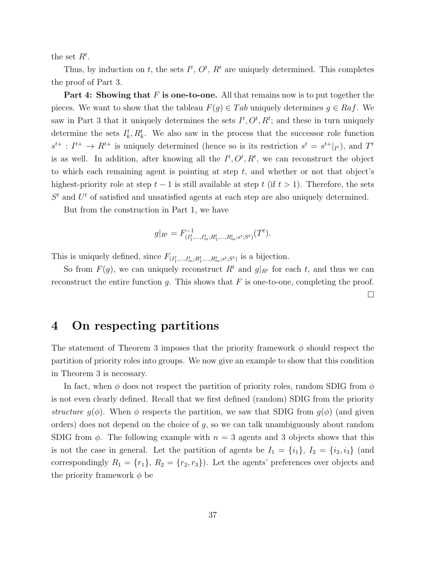the set  $R^t$ .

Thus, by induction on t, the sets  $I^t$ ,  $O^t$ ,  $R^t$  are uniquely determined. This completes the proof of Part 3.

**Part 4: Showing that F is one-to-one.** All that remains now is to put together the pieces. We want to show that the tableau  $F(g) \in Tab$  uniquely determines  $g \in Raf$ . We saw in Part 3 that it uniquely determines the sets  $I^t, O^t, R^t$ ; and these in turn uniquely determine the sets  $I_k^t, R_k^t$ . We also saw in the process that the successor role function  $s^{t+}: I^{t+} \to R^{t+}$  is uniquely determined (hence so is its restriction  $s^t = s^{t+}|_{I^t}$ ), and  $T^t$ is as well. In addition, after knowing all the  $I^t$ ,  $O^t$ ,  $R^t$ , we can reconstruct the object to which each remaining agent is pointing at step  $t$ , and whether or not that object's highest-priority role at step  $t - 1$  is still available at step t (if  $t > 1$ ). Therefore, the sets  $S<sup>t</sup>$  and  $U<sup>t</sup>$  of satisfied and unsatisfied agents at each step are also uniquely determined.

But from the construction in Part 1, we have

$$
g|_{R^t} = F^{-1}_{(I^t_1, \ldots, I^t_m; R^t_1, \ldots, R^t_m; s^t; S^t)}(T^t).
$$

This is uniquely defined, since  $F_{(I_1^t,...,I_m^t;R_1^t,...,R_m^t;s^t;S^t)}$  is a bijection.

So from  $F(g)$ , we can uniquely reconstruct  $R<sup>t</sup>$  and  $g|_{R<sup>t</sup>}$  for each t, and thus we can reconstruct the entire function  $g$ . This shows that  $F$  is one-to-one, completing the proof. □

## 4 On respecting partitions

The statement of Theorem 3 imposes that the priority framework  $\phi$  should respect the partition of priority roles into groups. We now give an example to show that this condition in Theorem 3 is necessary.

In fact, when  $\phi$  does not respect the partition of priority roles, random SDIG from  $\phi$ is not even clearly defined. Recall that we first defined (random) SDIG from the priority *structure*  $q(\phi)$ . When  $\phi$  respects the partition, we saw that SDIG from  $q(\phi)$  (and given orders) does not depend on the choice of g, so we can talk unambiguously about random SDIG from  $\phi$ . The following example with  $n = 3$  agents and 3 objects shows that this is not the case in general. Let the partition of agents be  $I_1 = \{i_1\}, I_2 = \{i_2, i_3\}$  (and correspondingly  $R_1 = \{r_1\}, R_2 = \{r_2, r_3\}$ . Let the agents' preferences over objects and the priority framework  $\phi$  be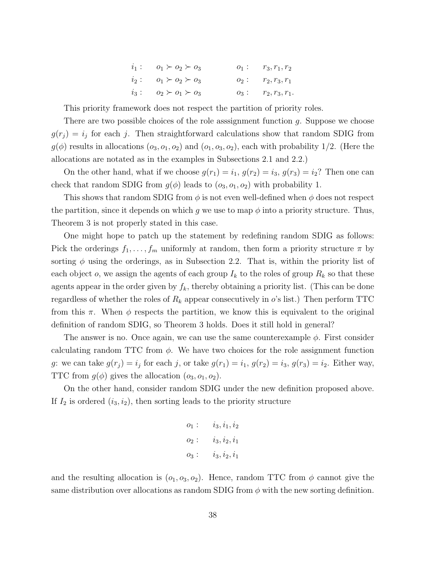| $i_1: \quad o_1 \succ o_2 \succ o_3$ | $o_1: r_3, r_1, r_2$  |
|--------------------------------------|-----------------------|
| $i_2: \quad o_1 \succ o_2 \succ o_3$ | $o_2: r_2, r_3, r_1$  |
| $i_3: \quad o_2 \succ o_1 \succ o_3$ | $o_3: r_2, r_3, r_1.$ |

This priority framework does not respect the partition of priority roles.

There are two possible choices of the role assignment function g. Suppose we choose  $g(r_j) = i_j$  for each j. Then straightforward calculations show that random SDIG from  $g(\phi)$  results in allocations  $(o_3, o_1, o_2)$  and  $(o_1, o_3, o_2)$ , each with probability 1/2. (Here the allocations are notated as in the examples in Subsections 2.1 and 2.2.)

On the other hand, what if we choose  $g(r_1) = i_1, g(r_2) = i_3, g(r_3) = i_2$ ? Then one can check that random SDIG from  $g(\phi)$  leads to  $(o_3, o_1, o_2)$  with probability 1.

This shows that random SDIG from  $\phi$  is not even well-defined when  $\phi$  does not respect the partition, since it depends on which g we use to map  $\phi$  into a priority structure. Thus, Theorem 3 is not properly stated in this case.

One might hope to patch up the statement by redefining random SDIG as follows: Pick the orderings  $f_1, \ldots, f_m$  uniformly at random, then form a priority structure  $\pi$  by sorting  $\phi$  using the orderings, as in Subsection 2.2. That is, within the priority list of each object o, we assign the agents of each group  $I_k$  to the roles of group  $R_k$  so that these agents appear in the order given by  $f_k$ , thereby obtaining a priority list. (This can be done regardless of whether the roles of  $R_k$  appear consecutively in  $o$ 's list.) Then perform TTC from this  $\pi$ . When  $\phi$  respects the partition, we know this is equivalent to the original definition of random SDIG, so Theorem 3 holds. Does it still hold in general?

The answer is no. Once again, we can use the same counterexample  $\phi$ . First consider calculating random TTC from  $\phi$ . We have two choices for the role assignment function g: we can take  $g(r_j) = i_j$  for each j, or take  $g(r_1) = i_1$ ,  $g(r_2) = i_3$ ,  $g(r_3) = i_2$ . Either way, TTC from  $g(\phi)$  gives the allocation  $(o_3, o_1, o_2)$ .

On the other hand, consider random SDIG under the new definition proposed above. If  $I_2$  is ordered  $(i_3, i_2)$ , then sorting leads to the priority structure

$$
o_1: \t i_3, i_1, i_2\n o_2: \t i_3, i_2, i_1\n o_3: \t i_3, i_2, i_1
$$

and the resulting allocation is  $(o_1, o_3, o_2)$ . Hence, random TTC from  $\phi$  cannot give the same distribution over allocations as random SDIG from  $\phi$  with the new sorting definition.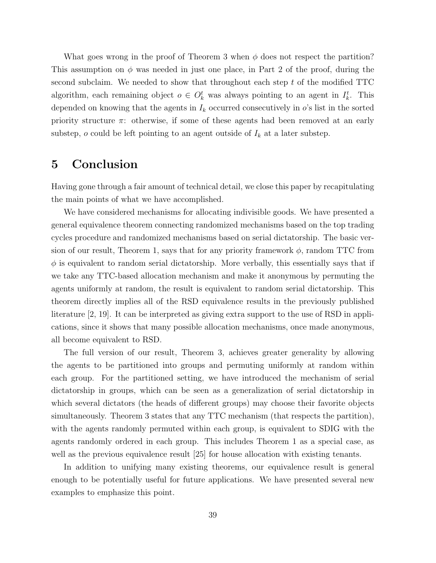What goes wrong in the proof of Theorem 3 when  $\phi$  does not respect the partition? This assumption on  $\phi$  was needed in just one place, in Part 2 of the proof, during the second subclaim. We needed to show that throughout each step t of the modified TTC algorithm, each remaining object  $o \in O_k^t$  was always pointing to an agent in  $I_k^t$ . This depended on knowing that the agents in  $I_k$  occurred consecutively in o's list in the sorted priority structure  $\pi$ : otherwise, if some of these agents had been removed at an early substep,  $o$  could be left pointing to an agent outside of  $I_k$  at a later substep.

## 5 Conclusion

Having gone through a fair amount of technical detail, we close this paper by recapitulating the main points of what we have accomplished.

We have considered mechanisms for allocating indivisible goods. We have presented a general equivalence theorem connecting randomized mechanisms based on the top trading cycles procedure and randomized mechanisms based on serial dictatorship. The basic version of our result, Theorem 1, says that for any priority framework  $\phi$ , random TTC from  $\phi$  is equivalent to random serial dictatorship. More verbally, this essentially says that if we take any TTC-based allocation mechanism and make it anonymous by permuting the agents uniformly at random, the result is equivalent to random serial dictatorship. This theorem directly implies all of the RSD equivalence results in the previously published literature [2, 19]. It can be interpreted as giving extra support to the use of RSD in applications, since it shows that many possible allocation mechanisms, once made anonymous, all become equivalent to RSD.

The full version of our result, Theorem 3, achieves greater generality by allowing the agents to be partitioned into groups and permuting uniformly at random within each group. For the partitioned setting, we have introduced the mechanism of serial dictatorship in groups, which can be seen as a generalization of serial dictatorship in which several dictators (the heads of different groups) may choose their favorite objects simultaneously. Theorem 3 states that any TTC mechanism (that respects the partition), with the agents randomly permuted within each group, is equivalent to SDIG with the agents randomly ordered in each group. This includes Theorem 1 as a special case, as well as the previous equivalence result [25] for house allocation with existing tenants.

In addition to unifying many existing theorems, our equivalence result is general enough to be potentially useful for future applications. We have presented several new examples to emphasize this point.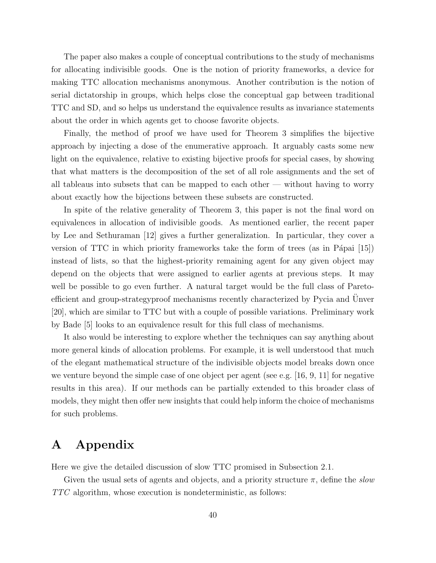The paper also makes a couple of conceptual contributions to the study of mechanisms for allocating indivisible goods. One is the notion of priority frameworks, a device for making TTC allocation mechanisms anonymous. Another contribution is the notion of serial dictatorship in groups, which helps close the conceptual gap between traditional TTC and SD, and so helps us understand the equivalence results as invariance statements about the order in which agents get to choose favorite objects.

Finally, the method of proof we have used for Theorem 3 simplifies the bijective approach by injecting a dose of the enumerative approach. It arguably casts some new light on the equivalence, relative to existing bijective proofs for special cases, by showing that what matters is the decomposition of the set of all role assignments and the set of all tableaus into subsets that can be mapped to each other — without having to worry about exactly how the bijections between these subsets are constructed.

In spite of the relative generality of Theorem 3, this paper is not the final word on equivalences in allocation of indivisible goods. As mentioned earlier, the recent paper by Lee and Sethuraman [12] gives a further generalization. In particular, they cover a version of TTC in which priority frameworks take the form of trees (as in Pápai  $[15]$ ) instead of lists, so that the highest-priority remaining agent for any given object may depend on the objects that were assigned to earlier agents at previous steps. It may well be possible to go even further. A natural target would be the full class of Paretoefficient and group-strategyproof mechanisms recently characterized by Pycia and Unver [20], which are similar to TTC but with a couple of possible variations. Preliminary work by Bade [5] looks to an equivalence result for this full class of mechanisms.

It also would be interesting to explore whether the techniques can say anything about more general kinds of allocation problems. For example, it is well understood that much of the elegant mathematical structure of the indivisible objects model breaks down once we venture beyond the simple case of one object per agent (see e.g.  $[16, 9, 11]$  for negative results in this area). If our methods can be partially extended to this broader class of models, they might then offer new insights that could help inform the choice of mechanisms for such problems.

# A Appendix

Here we give the detailed discussion of slow TTC promised in Subsection 2.1.

Given the usual sets of agents and objects, and a priority structure π, define the *slow TTC* algorithm, whose execution is nondeterministic, as follows: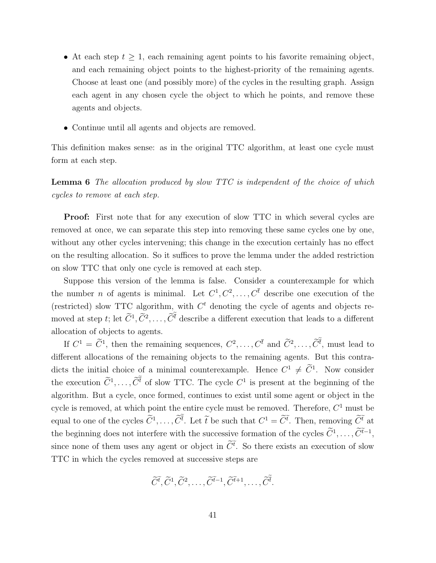- At each step  $t \geq 1$ , each remaining agent points to his favorite remaining object, and each remaining object points to the highest-priority of the remaining agents. Choose at least one (and possibly more) of the cycles in the resulting graph. Assign each agent in any chosen cycle the object to which he points, and remove these agents and objects.
- Continue until all agents and objects are removed.

This definition makes sense: as in the original TTC algorithm, at least one cycle must form at each step.

Lemma 6 *The allocation produced by slow TTC is independent of the choice of which cycles to remove at each step.*

Proof: First note that for any execution of slow TTC in which several cycles are removed at once, we can separate this step into removing these same cycles one by one, without any other cycles intervening; this change in the execution certainly has no effect on the resulting allocation. So it suffices to prove the lemma under the added restriction on slow TTC that only one cycle is removed at each step.

Suppose this version of the lemma is false. Consider a counterexample for which the number *n* of agents is minimal. Let  $C^1, C^2, \ldots, C^{\bar{t}}$  describe one execution of the (restricted) slow TTC algorithm, with  $C<sup>t</sup>$  denoting the cycle of agents and objects removed at step t; let  $\widetilde{C}^1, \widetilde{C}^2, \ldots, \widetilde{C}^{\widetilde{t}}$  describe a different execution that leads to a different allocation of objects to agents.

If  $C^1 = \tilde{C}^1$ , then the remaining sequences,  $C^2, \ldots, C^{\overline{t}}$  and  $\tilde{C}^2, \ldots, \tilde{C}^{\overline{t}}$ , must lead to different allocations of the remaining objects to the remaining agents. But this contradicts the initial choice of a minimal counterexample. Hence  $C^1 \neq C^1$ . Now consider the execution  $\widetilde{C}^1,\ldots,\widetilde{C}^{\widetilde{t}}$  of slow TTC. The cycle  $C^1$  is present at the beginning of the algorithm. But a cycle, once formed, continues to exist until some agent or object in the cycle is removed, at which point the entire cycle must be removed. Therefore,  $C^1$  must be equal to one of the cycles  $\widetilde{C}^1,\ldots,\widetilde{C}^{\widetilde{t}}$ . Let  $\widetilde{t}$  be such that  $C^1 = \widetilde{C}^{\widetilde{t}}$ . Then, removing  $\widetilde{C}^{\widetilde{t}}$  at the beginning does not interfere with the successive formation of the cycles  $\widetilde{C}^1,\ldots,\widetilde{C}^{\widetilde{t}-1},$ since none of them uses any agent or object in  $\tilde{C}^{\tilde{t}}$ . So there exists an execution of slow TTC in which the cycles removed at successive steps are

$$
\widetilde{C}^{\tilde{t}}, \widetilde{C}^1, \widetilde{C}^2, \ldots, \widetilde{C}^{\tilde{t}-1}, \widetilde{C}^{\tilde{t}+1}, \ldots, \widetilde{C}^{\tilde{t}}.
$$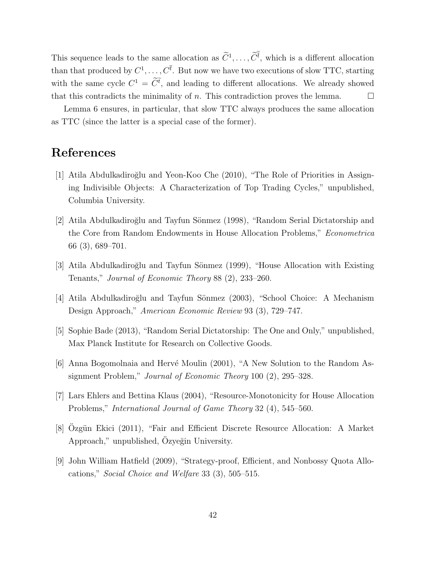This sequence leads to the same allocation as  $\widetilde{C}^1,\ldots,\widetilde{C}^{\widetilde{t}},$  which is a different allocation than that produced by  $C^1, \ldots, C^{\overline{t}}$ . But now we have two executions of slow TTC, starting with the same cycle  $C^1 = \tilde{C}^{\tilde{t}}$ , and leading to different allocations. We already showed that this contradicts the minimality of n. This contradiction proves the lemma.  $\Box$ 

Lemma 6 ensures, in particular, that slow TTC always produces the same allocation as TTC (since the latter is a special case of the former).

## References

- [1] Atila Abdulkadiroğlu and Yeon-Koo Che (2010), "The Role of Priorities in Assigning Indivisible Objects: A Characterization of Top Trading Cycles," unpublished, Columbia University.
- [2] Atila Abdulkadiroğlu and Tayfun Sönmez (1998), "Random Serial Dictatorship and the Core from Random Endowments in House Allocation Problems," *Econometrica* 66 (3), 689–701.
- [3] Atila Abdulkadiroğlu and Tayfun Sönmez (1999), "House Allocation with Existing Tenants," *Journal of Economic Theory* 88 (2), 233–260.
- [4] Atila Abdulkadiroğlu and Tayfun Sönmez (2003), "School Choice: A Mechanism Design Approach," *American Economic Review* 93 (3), 729–747.
- [5] Sophie Bade (2013), "Random Serial Dictatorship: The One and Only," unpublished, Max Planck Institute for Research on Collective Goods.
- [6] Anna Bogomolnaia and Hervé Moulin (2001), "A New Solution to the Random Assignment Problem," *Journal of Economic Theory* 100 (2), 295–328.
- [7] Lars Ehlers and Bettina Klaus (2004), "Resource-Monotonicity for House Allocation Problems," *International Journal of Game Theory* 32 (4), 545–560.
- [8] Ozgün Ekici (2011), "Fair and Efficient Discrete Resource Allocation: A Market Approach," unpublished, Ozyeğin University.
- [9] John William Hatfield (2009), "Strategy-proof, Efficient, and Nonbossy Quota Allocations," *Social Choice and Welfare* 33 (3), 505–515.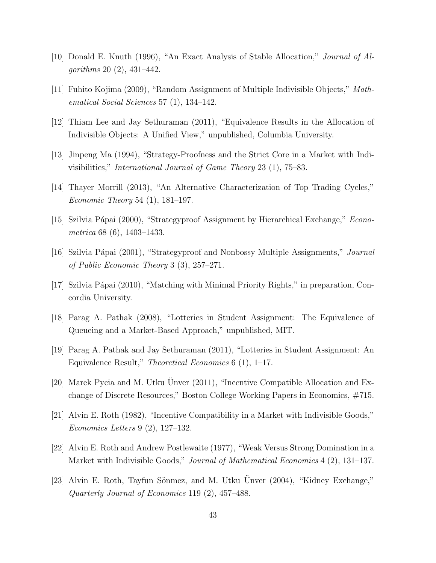- [10] Donald E. Knuth (1996), "An Exact Analysis of Stable Allocation," *Journal of Algorithms* 20 (2), 431–442.
- [11] Fuhito Kojima (2009), "Random Assignment of Multiple Indivisible Objects," *Mathematical Social Sciences* 57 (1), 134–142.
- [12] Thiam Lee and Jay Sethuraman (2011), "Equivalence Results in the Allocation of Indivisible Objects: A Unified View," unpublished, Columbia University.
- [13] Jinpeng Ma (1994), "Strategy-Proofness and the Strict Core in a Market with Indivisibilities," *International Journal of Game Theory* 23 (1), 75–83.
- [14] Thayer Morrill (2013), "An Alternative Characterization of Top Trading Cycles," *Economic Theory* 54 (1), 181–197.
- [15] Szilvia P´apai (2000), "Strategyproof Assignment by Hierarchical Exchange," *Econometrica* 68 (6), 1403–1433.
- [16] Szilvia P´apai (2001), "Strategyproof and Nonbossy Multiple Assignments," *Journal of Public Economic Theory* 3 (3), 257–271.
- [17] Szilvia Pápai (2010), "Matching with Minimal Priority Rights," in preparation, Concordia University.
- [18] Parag A. Pathak (2008), "Lotteries in Student Assignment: The Equivalence of Queueing and a Market-Based Approach," unpublished, MIT.
- [19] Parag A. Pathak and Jay Sethuraman (2011), "Lotteries in Student Assignment: An Equivalence Result," *Theoretical Economics* 6 (1), 1–17.
- [20] Marek Pycia and M. Utku  $\text{U}$ nver (2011), "Incentive Compatible Allocation and Exchange of Discrete Resources," Boston College Working Papers in Economics, #715.
- [21] Alvin E. Roth (1982), "Incentive Compatibility in a Market with Indivisible Goods," *Economics Letters* 9 (2), 127–132.
- [22] Alvin E. Roth and Andrew Postlewaite (1977), "Weak Versus Strong Domination in a Market with Indivisible Goods," *Journal of Mathematical Economics* 4 (2), 131–137.
- [23] Alvin E. Roth, Tayfun Sönmez, and M. Utku Unver (2004), "Kidney Exchange," *Quarterly Journal of Economics* 119 (2), 457–488.